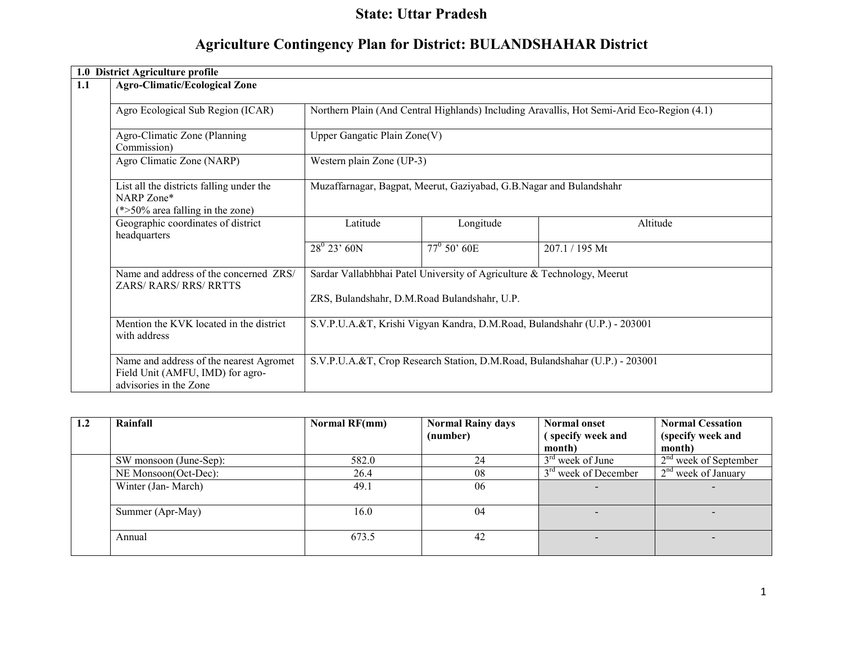# State: Uttar Pradesh

# Agriculture Contingency Plan for District: BULANDSHAHAR District

|     | 1.0 District Agriculture profile                                                                      |                                                                                                  |                                                                         |                                                                                            |  |  |  |
|-----|-------------------------------------------------------------------------------------------------------|--------------------------------------------------------------------------------------------------|-------------------------------------------------------------------------|--------------------------------------------------------------------------------------------|--|--|--|
| 1.1 | <b>Agro-Climatic/Ecological Zone</b>                                                                  |                                                                                                  |                                                                         |                                                                                            |  |  |  |
|     |                                                                                                       |                                                                                                  |                                                                         |                                                                                            |  |  |  |
|     | Agro Ecological Sub Region (ICAR)                                                                     |                                                                                                  |                                                                         | Northern Plain (And Central Highlands) Including Aravallis, Hot Semi-Arid Eco-Region (4.1) |  |  |  |
|     | Agro-Climatic Zone (Planning                                                                          | Upper Gangatic Plain $\text{Zone}(V)$                                                            |                                                                         |                                                                                            |  |  |  |
|     | Commission)                                                                                           |                                                                                                  |                                                                         |                                                                                            |  |  |  |
|     | Agro Climatic Zone (NARP)                                                                             | Western plain Zone (UP-3)<br>Muzaffarnagar, Bagpat, Meerut, Gaziyabad, G.B.Nagar and Bulandshahr |                                                                         |                                                                                            |  |  |  |
|     | List all the districts falling under the<br>NARP Zone*<br>$(*>50\%$ area falling in the zone)         |                                                                                                  |                                                                         |                                                                                            |  |  |  |
|     | Geographic coordinates of district<br>headquarters                                                    | Latitude                                                                                         | Longitude                                                               | Altitude                                                                                   |  |  |  |
|     |                                                                                                       | $28^0$ 23' 60N                                                                                   | $77^{\circ}$ 50' 60E                                                    | 207.1 / 195 Mt                                                                             |  |  |  |
|     | Name and address of the concerned ZRS/                                                                |                                                                                                  | Sardar Vallabhbhai Patel University of Agriculture & Technology, Meerut |                                                                                            |  |  |  |
|     | <b>ZARS/ RARS/ RRS/ RRTTS</b>                                                                         | ZRS, Bulandshahr, D.M.Road Bulandshahr, U.P.                                                     |                                                                         |                                                                                            |  |  |  |
|     |                                                                                                       |                                                                                                  |                                                                         |                                                                                            |  |  |  |
|     | Mention the KVK located in the district<br>with address                                               | S.V.P.U.A.&T, Krishi Vigyan Kandra, D.M.Road, Bulandshahr (U.P.) - 203001                        |                                                                         |                                                                                            |  |  |  |
|     | Name and address of the nearest Agromet<br>Field Unit (AMFU, IMD) for agro-<br>advisories in the Zone |                                                                                                  |                                                                         | S.V.P.U.A.&T, Crop Research Station, D.M.Road, Bulandshahar (U.P.) - 203001                |  |  |  |

| 1.2 | Rainfall               | Normal RF(mm) | <b>Normal Rainy days</b> | Normal onset           | <b>Normal Cessation</b> |
|-----|------------------------|---------------|--------------------------|------------------------|-------------------------|
|     |                        |               | (number)                 | (specify week and      | (specify week and       |
|     |                        |               |                          | month)                 | month)                  |
|     | SW monsoon (June-Sep): | 582.0         | 24                       | $3rd$ week of June     | $2nd$ week of September |
|     | NE Monsoon(Oct-Dec):   | 26.4          | 08                       | $3rd$ week of December | $2nd$ week of January   |
|     | Winter (Jan-March)     | 49.1          | 06                       |                        |                         |
|     | Summer (Apr-May)       | 16.0          | 04                       |                        |                         |
|     | Annual                 | 673.5         | 42                       |                        |                         |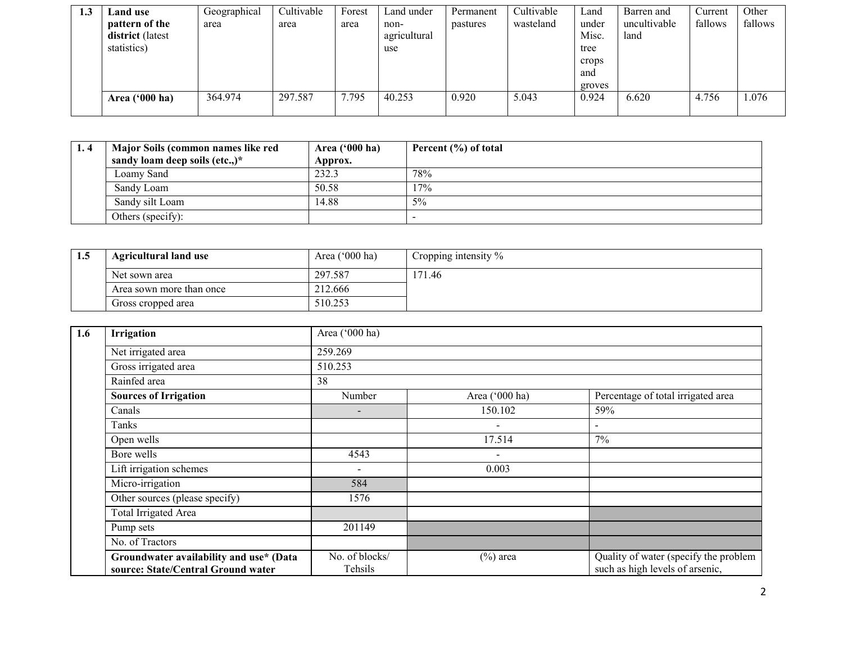| 1.3 | <b>Land</b> use  | Geographical | Cultivable | Forest | Land under   | Permanent | Cultivable | Land   | Barren and   | Current | Other   |
|-----|------------------|--------------|------------|--------|--------------|-----------|------------|--------|--------------|---------|---------|
|     | pattern of the   | area         | area       | area   | non-         | pastures  | wasteland  | under  | uncultivable | fallows | fallows |
|     | district (latest |              |            |        | agricultural |           |            | Misc.  | land         |         |         |
|     | statistics)      |              |            |        | use          |           |            | tree   |              |         |         |
|     |                  |              |            |        |              |           |            | crops  |              |         |         |
|     |                  |              |            |        |              |           |            | and    |              |         |         |
|     |                  |              |            |        |              |           |            | groves |              |         |         |
|     | Area $('000 ha)$ | 364.974      | 297.587    | 7.795  | 40.253       | 0.920     | 5.043      | 0.924  | 6.620        | 4.756   | 1.076   |
|     |                  |              |            |        |              |           |            |        |              |         |         |

| 1.4 | Major Soils (common names like red | Area $('000 ha)$ | Percent (%) of total |
|-----|------------------------------------|------------------|----------------------|
|     | sandy loam deep soils (etc.,)*     | Approx.          |                      |
|     | Loamy Sand                         | 232.3            | 78%                  |
|     | Sandy Loam                         | 50.58            | 17%                  |
|     | Sandy silt Loam                    | 14.88            | 5%                   |
|     | Others (specify):                  |                  |                      |

| 1.J | <b>Agricultural land use</b>        | Area $('000 ha)$ | Cropping intensity % |
|-----|-------------------------------------|------------------|----------------------|
|     | Net sown area                       | 297.587          | 171.46               |
|     | 212.666<br>Area sown more than once |                  |                      |
|     | Gross cropped area                  | 510.253          |                      |

| 1.6 | Irrigation                                                                    | Area ('000 ha)            |                          |                                                                          |  |  |  |  |  |
|-----|-------------------------------------------------------------------------------|---------------------------|--------------------------|--------------------------------------------------------------------------|--|--|--|--|--|
|     | Net irrigated area                                                            | 259.269                   |                          |                                                                          |  |  |  |  |  |
|     | Gross irrigated area                                                          | 510.253                   |                          |                                                                          |  |  |  |  |  |
|     | Rainfed area                                                                  | 38                        |                          |                                                                          |  |  |  |  |  |
|     | <b>Sources of Irrigation</b>                                                  | Number                    | Area ('000 ha)           | Percentage of total irrigated area                                       |  |  |  |  |  |
|     | Canals                                                                        | $\overline{\phantom{a}}$  | 150.102                  | 59%                                                                      |  |  |  |  |  |
|     | Tanks                                                                         |                           | $\overline{\phantom{a}}$ |                                                                          |  |  |  |  |  |
|     | Open wells                                                                    |                           | 17.514                   | $7\%$                                                                    |  |  |  |  |  |
|     | Bore wells                                                                    | 4543                      | $\overline{\phantom{a}}$ |                                                                          |  |  |  |  |  |
|     | Lift irrigation schemes                                                       | $\overline{\phantom{a}}$  | 0.003                    |                                                                          |  |  |  |  |  |
|     | Micro-irrigation                                                              | 584                       |                          |                                                                          |  |  |  |  |  |
|     | Other sources (please specify)                                                | 1576                      |                          |                                                                          |  |  |  |  |  |
|     | Total Irrigated Area                                                          |                           |                          |                                                                          |  |  |  |  |  |
|     | Pump sets                                                                     | 201149                    |                          |                                                                          |  |  |  |  |  |
|     | No. of Tractors                                                               |                           |                          |                                                                          |  |  |  |  |  |
|     | Groundwater availability and use* (Data<br>source: State/Central Ground water | No. of blocks/<br>Tehsils | $(\%)$ area              | Quality of water (specify the problem<br>such as high levels of arsenic, |  |  |  |  |  |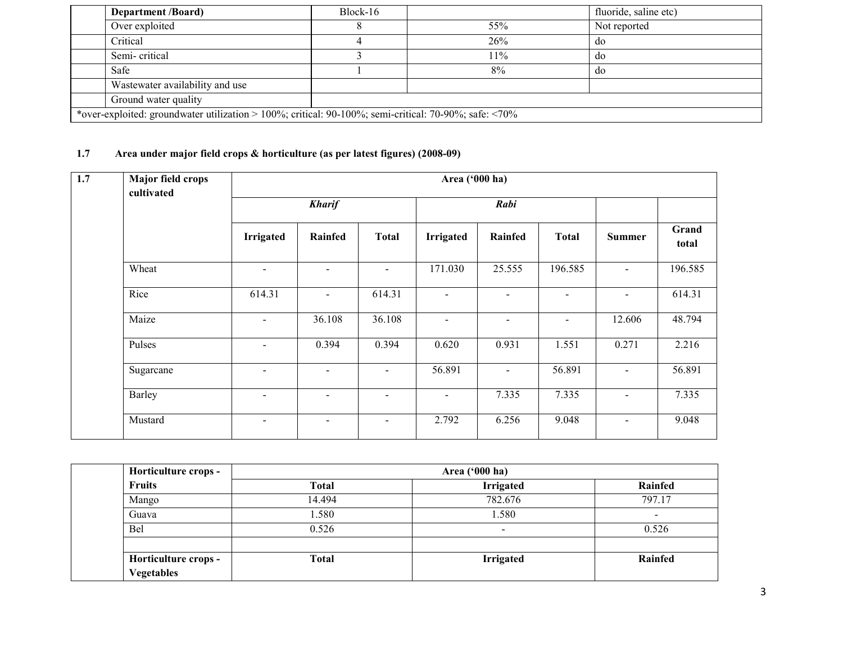| <b>Department /Board)</b>                                                                                   | Block-16 |     | fluoride, saline etc) |  |  |  |
|-------------------------------------------------------------------------------------------------------------|----------|-----|-----------------------|--|--|--|
| Over exploited                                                                                              |          | 55% | Not reported          |  |  |  |
| Critical                                                                                                    |          | 26% | do                    |  |  |  |
| Semi-critical                                                                                               |          | 11% | do                    |  |  |  |
| Safe                                                                                                        |          | 8%  | do                    |  |  |  |
| Wastewater availability and use                                                                             |          |     |                       |  |  |  |
| Ground water quality                                                                                        |          |     |                       |  |  |  |
| *over-exploited: groundwater utilization > 100%; critical: 90-100%; semi-critical: 70-90%; safe: $\leq$ 70% |          |     |                       |  |  |  |

### 1.7 Area under major field crops & horticulture (as per latest figures) (2008-09)

| $\overline{1.7}$ | <b>Major field crops</b><br>cultivated |                          | Area ('000 ha)           |                          |                          |                |                          |                |                |  |  |
|------------------|----------------------------------------|--------------------------|--------------------------|--------------------------|--------------------------|----------------|--------------------------|----------------|----------------|--|--|
|                  |                                        | <b>Kharif</b>            |                          | Rabi                     |                          |                |                          |                |                |  |  |
|                  |                                        | Irrigated                | Rainfed                  | <b>Total</b>             | <b>Irrigated</b>         | Rainfed        | <b>Total</b>             | <b>Summer</b>  | Grand<br>total |  |  |
|                  | Wheat                                  | $\blacksquare$           | $\overline{\phantom{0}}$ | $\blacksquare$           | 171.030                  | 25.555         | 196.585                  | $\blacksquare$ | 196.585        |  |  |
|                  | Rice                                   | 614.31                   | $\blacksquare$           | 614.31                   | $\overline{\phantom{a}}$ | $\sim$         | $\blacksquare$           | $\blacksquare$ | 614.31         |  |  |
|                  | Maize                                  | $\sim$                   | 36.108                   | 36.108                   | $\overline{\phantom{a}}$ | $\blacksquare$ | $\overline{\phantom{a}}$ | 12.606         | 48.794         |  |  |
|                  | Pulses                                 | $\blacksquare$           | 0.394                    | 0.394                    | 0.620                    | 0.931          | 1.551                    | 0.271          | 2.216          |  |  |
|                  | Sugarcane                              | $\overline{\phantom{a}}$ |                          | $\overline{\phantom{a}}$ | 56.891                   | $\blacksquare$ | 56.891                   | $\blacksquare$ | 56.891         |  |  |
|                  | Barley                                 | $\blacksquare$           | $\overline{\phantom{a}}$ | $\overline{\phantom{a}}$ | $\overline{\phantom{a}}$ | 7.335          | 7.335                    | $\blacksquare$ | 7.335          |  |  |
|                  | Mustard                                | $\overline{\phantom{a}}$ |                          | $\overline{\phantom{0}}$ | 2.792                    | 6.256          | 9.048                    | $\blacksquare$ | 9.048          |  |  |

| Horticulture crops - |              |                  |                          |
|----------------------|--------------|------------------|--------------------------|
| <b>Fruits</b>        | <b>Total</b> | <b>Irrigated</b> | Rainfed                  |
| Mango                | 14.494       | 782.676          | 797.17                   |
| Guava                | 1.580        | 1.580            | $\overline{\phantom{0}}$ |
| Bel                  | 0.526        | -                | 0.526                    |
|                      |              |                  |                          |
| Horticulture crops - | <b>Total</b> | <b>Irrigated</b> | Rainfed                  |
| <b>Vegetables</b>    |              |                  |                          |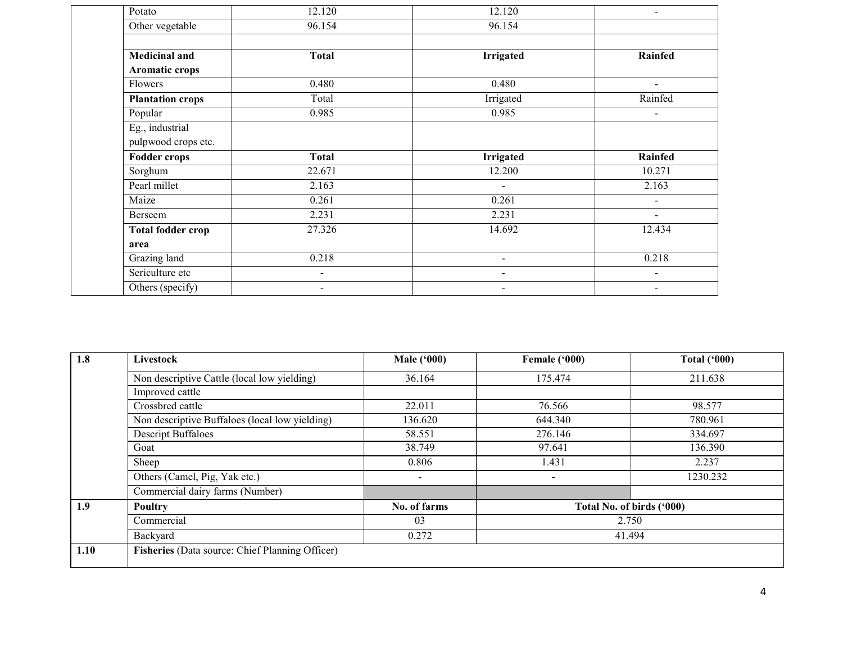| Potato                   | 12.120         | 12.120                   | $\blacksquare$           |
|--------------------------|----------------|--------------------------|--------------------------|
| Other vegetable          | 96.154         | 96.154                   |                          |
| <b>Medicinal and</b>     | <b>Total</b>   | <b>Irrigated</b>         | <b>Rainfed</b>           |
| Aromatic crops           |                |                          |                          |
| Flowers                  | 0.480          | 0.480                    | $\overline{\phantom{a}}$ |
| <b>Plantation crops</b>  | Total          | Irrigated                | Rainfed                  |
| Popular                  | 0.985          | 0.985                    | $\blacksquare$           |
| Eg., industrial          |                |                          |                          |
| pulpwood crops etc.      |                |                          |                          |
| <b>Fodder crops</b>      | <b>Total</b>   | <b>Irrigated</b>         | Rainfed                  |
| Sorghum                  | 22.671         | 12.200                   | 10.271                   |
| Pearl millet             | 2.163          | $\overline{\phantom{a}}$ | 2.163                    |
| Maize                    | 0.261          | 0.261                    | $\overline{\phantom{a}}$ |
| Berseem                  | 2.231          | 2.231                    | $\blacksquare$           |
| <b>Total fodder crop</b> | 27.326         | 14.692                   | 12.434                   |
| area                     |                |                          |                          |
| Grazing land             | 0.218          | $\overline{\phantom{a}}$ | 0.218                    |
| Sericulture etc          |                | $\blacksquare$           | $\blacksquare$           |
|                          | $\blacksquare$ |                          |                          |

| 1.8  | Livestock                                       | <b>Male ('000)</b>       | Female ('000)             | <b>Total ('000)</b> |
|------|-------------------------------------------------|--------------------------|---------------------------|---------------------|
|      | Non descriptive Cattle (local low yielding)     | 36.164                   | 175.474                   | 211.638             |
|      | Improved cattle                                 |                          |                           |                     |
|      | Crossbred cattle                                | 22.011                   | 76.566                    | 98.577              |
|      | Non descriptive Buffaloes (local low yielding)  | 136.620                  | 644.340                   | 780.961             |
|      | <b>Descript Buffaloes</b>                       | 58.551                   | 276.146                   | 334.697             |
|      | Goat                                            | 38.749                   | 97.641                    | 136.390             |
|      | Sheep                                           | 0.806                    | 1.431                     | 2.237               |
|      | Others (Camel, Pig, Yak etc.)                   | $\overline{\phantom{0}}$ | $\overline{\phantom{0}}$  | 1230.232            |
|      | Commercial dairy farms (Number)                 |                          |                           |                     |
| 1.9  | Poultry                                         | No. of farms             | Total No. of birds ('000) |                     |
|      | Commercial                                      | 03                       | 2.750                     |                     |
|      | Backyard                                        | 0.272                    | 41.494                    |                     |
| 1.10 | Fisheries (Data source: Chief Planning Officer) |                          |                           |                     |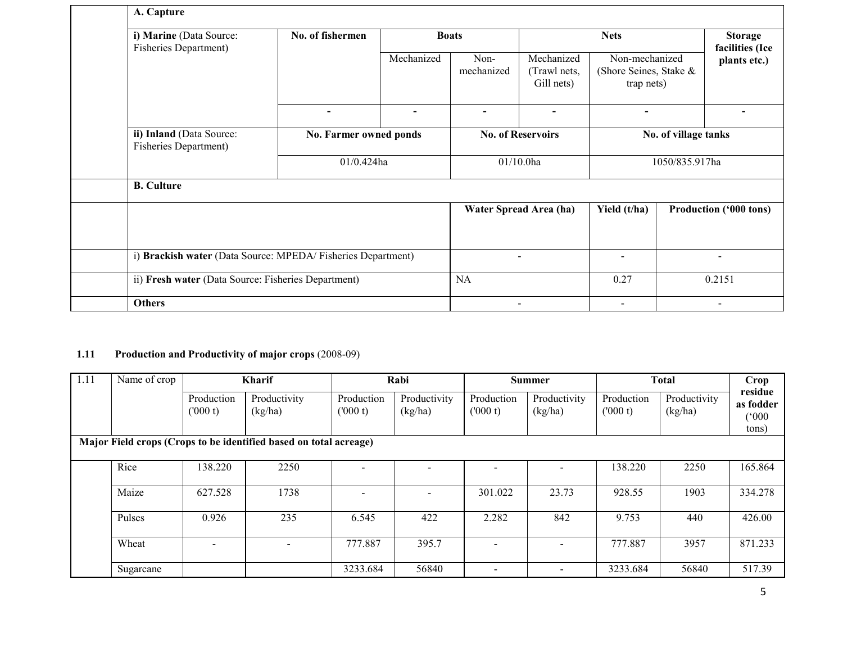|  | A. Capture                                                  |                        |                                          |                    |                                          |                                                        |                          |                                 |  |  |  |
|--|-------------------------------------------------------------|------------------------|------------------------------------------|--------------------|------------------------------------------|--------------------------------------------------------|--------------------------|---------------------------------|--|--|--|
|  | i) Marine (Data Source:<br><b>Fisheries Department)</b>     | No. of fishermen       |                                          | <b>Boats</b>       |                                          | <b>Nets</b>                                            |                          |                                 |  |  |  |
|  |                                                             |                        | Mechanized                               | Non-<br>mechanized | Mechanized<br>(Trawl nets,<br>Gill nets) | Non-mechanized<br>(Shore Seines, Stake &<br>trap nets) |                          | facilities (Ice<br>plants etc.) |  |  |  |
|  |                                                             | $\blacksquare$         |                                          |                    | $\blacksquare$                           | $\overline{\phantom{a}}$                               |                          |                                 |  |  |  |
|  | ii) Inland (Data Source:<br>Fisheries Department)           | No. Farmer owned ponds | <b>No. of Reservoirs</b><br>$01/10.0$ ha |                    | No. of village tanks                     |                                                        |                          |                                 |  |  |  |
|  |                                                             | $01/0.424$ ha          |                                          |                    |                                          | 1050/835.917ha                                         |                          |                                 |  |  |  |
|  | <b>B.</b> Culture                                           |                        |                                          |                    |                                          |                                                        |                          |                                 |  |  |  |
|  |                                                             |                        |                                          |                    | Water Spread Area (ha)                   | Yield (t/ha)                                           |                          | <b>Production ('000 tons)</b>   |  |  |  |
|  | i) Brackish water (Data Source: MPEDA/Fisheries Department) |                        |                                          | $\blacksquare$     | $\overline{\phantom{a}}$                 |                                                        | $\overline{\phantom{0}}$ |                                 |  |  |  |
|  | ii) Fresh water (Data Source: Fisheries Department)         |                        | NA                                       |                    | 0.27                                     |                                                        | 0.2151                   |                                 |  |  |  |
|  | <b>Others</b>                                               |                        |                                          |                    |                                          | $\blacksquare$                                         |                          |                                 |  |  |  |

#### 1.11 Production and Productivity of major crops (2008-09)

| 1.11 | Name of crop |                       | <b>Kharif</b>                                                     |                          | Rabi                    |                          | <b>Summer</b>           |                       | <b>Total</b>            | Crop                                           |
|------|--------------|-----------------------|-------------------------------------------------------------------|--------------------------|-------------------------|--------------------------|-------------------------|-----------------------|-------------------------|------------------------------------------------|
|      |              | Production<br>(000 t) | Productivity<br>(kg/ha)                                           | Production<br>(000 t)    | Productivity<br>(kg/ha) | Production<br>(000 t)    | Productivity<br>(kg/ha) | Production<br>(000 t) | Productivity<br>(kg/ha) | residue<br>as fodder<br>$000^{\circ}$<br>tons) |
|      |              |                       | Major Field crops (Crops to be identified based on total acreage) |                          |                         |                          |                         |                       |                         |                                                |
|      | Rice         | 138.220               | 2250                                                              | $\overline{\phantom{0}}$ |                         |                          |                         | 138.220               | 2250                    | 165.864                                        |
|      | Maize        | 627.528               | 1738                                                              |                          |                         | 301.022                  | 23.73                   | 928.55                | 1903                    | 334.278                                        |
|      | Pulses       | 0.926                 | 235                                                               | 6.545                    | 422                     | 2.282                    | 842                     | 9.753                 | 440                     | 426.00                                         |
|      | Wheat        |                       |                                                                   | 777.887                  | 395.7                   | $\overline{\phantom{0}}$ |                         | 777.887               | 3957                    | 871.233                                        |
|      | Sugarcane    |                       |                                                                   | 3233.684                 | 56840                   |                          |                         | 3233.684              | 56840                   | 517.39                                         |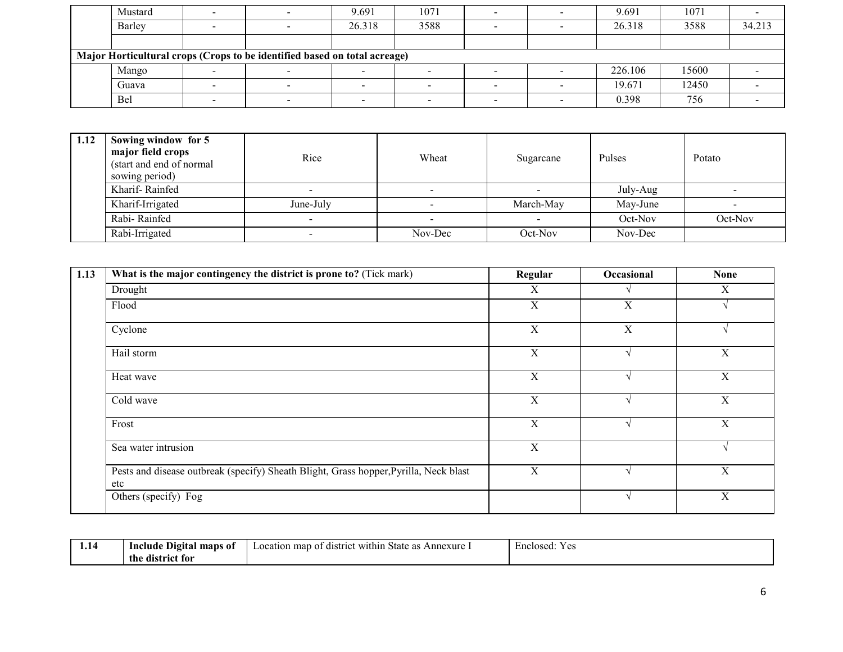| Mustard |                                                                           | 9.691  | 1071 |  | 9.691   | 1071  |        |
|---------|---------------------------------------------------------------------------|--------|------|--|---------|-------|--------|
| Barley  |                                                                           | 26.318 | 3588 |  | 26.318  | 3588  | 34.213 |
|         |                                                                           |        |      |  |         |       |        |
|         | Major Horticultural crops (Crops to be identified based on total acreage) |        |      |  |         |       |        |
| Mango   |                                                                           |        |      |  | 226.106 | 15600 |        |
| Guava   |                                                                           |        |      |  | 19.671  | 12450 |        |
| Bel     |                                                                           |        |      |  | 0.398   | 756   |        |

| 1.12 | Sowing window for 5<br>major field crops<br>(start and end of normal)<br>sowing period) | Rice      | Wheat   | Sugarcane | Pulses   | Potato  |
|------|-----------------------------------------------------------------------------------------|-----------|---------|-----------|----------|---------|
|      | Kharif-Rainfed                                                                          |           |         |           | July-Aug |         |
|      | Kharif-Irrigated                                                                        | June-July |         | March-May | May-June |         |
|      | Rabi-Rainfed                                                                            |           |         |           | Oct-Nov  | Oct-Nov |
|      | Rabi-Irrigated                                                                          |           | Nov-Dec | Oct-Nov   | Nov-Dec  |         |

| 1.13 | What is the major contingency the district is prone to? (Tick mark)                          | Regular     | Occasional  | <b>None</b> |
|------|----------------------------------------------------------------------------------------------|-------------|-------------|-------------|
|      | Drought                                                                                      | X           |             | X           |
|      | Flood                                                                                        | $\mathbf X$ | X           |             |
|      | Cyclone                                                                                      | X           | $\mathbf X$ |             |
|      | Hail storm                                                                                   | $\mathbf X$ |             | X           |
|      | Heat wave                                                                                    | $\mathbf X$ |             | X           |
|      | Cold wave                                                                                    | X           |             | X           |
|      | Frost                                                                                        | $\mathbf X$ |             | X           |
|      | Sea water intrusion                                                                          | X           |             | $\sim$      |
|      | Pests and disease outbreak (specify) Sheath Blight, Grass hopper, Pyrilla, Neck blast<br>etc | X           |             | $\mathbf X$ |
|      | Others (specify) Fog                                                                         |             |             | $\mathbf X$ |

| . | maps of<br>Include<br><b>Digital</b> | t within<br>state<br>Annexure<br>as<br>map<br>Location<br>. distr<br>$\overline{\phantom{a}}$ | Enclosed:<br>$V \alpha$<br>. |
|---|--------------------------------------|-----------------------------------------------------------------------------------------------|------------------------------|
|   | the<br>district for                  |                                                                                               |                              |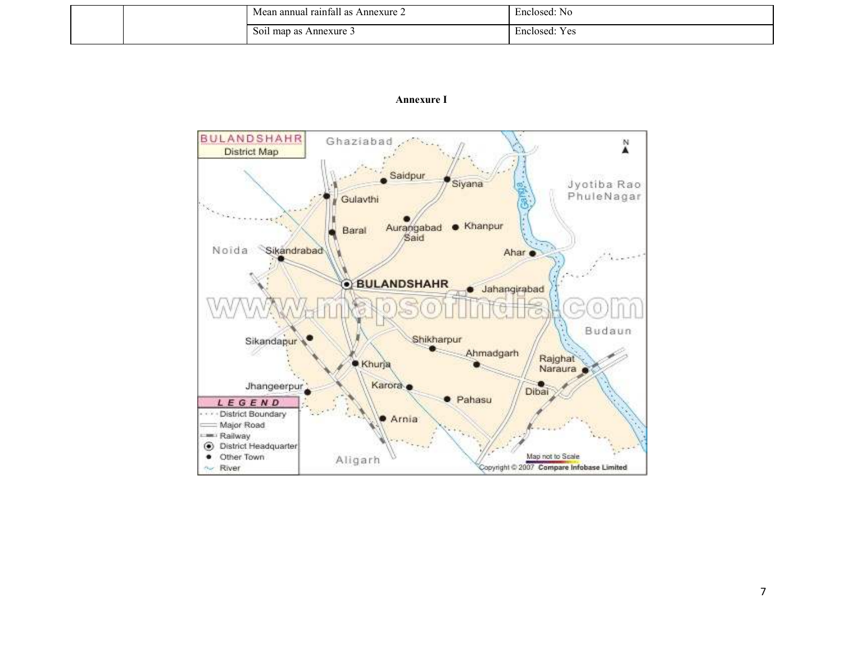|  | 0.11<br>$\degree$ Annexure $\angle$<br>Mean annual rainfall<br>as | Enclosed:<br>NC                                    |
|--|-------------------------------------------------------------------|----------------------------------------------------|
|  | S011<br>Annexure 3<br>map<br>as                                   | $\mathbf{r}$<br>$V_{\alpha}$<br>Enclosed:<br>1. VO |

#### Annexure I

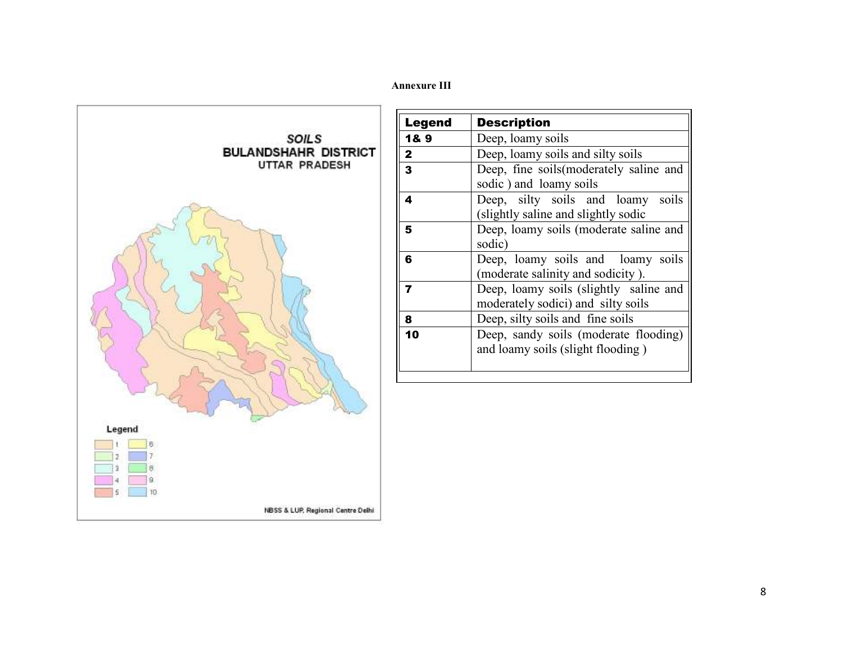### Annexure III



| Legend       | <b>Description</b>                                                           |
|--------------|------------------------------------------------------------------------------|
| 1&9          | Deep, loamy soils                                                            |
| $\mathbf{2}$ | Deep, loamy soils and silty soils                                            |
| 3            | Deep, fine soils (moderately saline and<br>sodic) and loamy soils            |
| 4            | Deep, silty soils and loamy soils<br>(slightly saline and slightly sodic     |
| 5            | Deep, loamy soils (moderate saline and<br>sodic)                             |
| 6            | Deep, loamy soils and loamy soils<br>(moderate salinity and sodicity).       |
| 7            | Deep, loamy soils (slightly saline and<br>moderately sodici) and silty soils |
| 8            | Deep, silty soils and fine soils                                             |
| 10           | Deep, sandy soils (moderate flooding)<br>and loamy soils (slight flooding)   |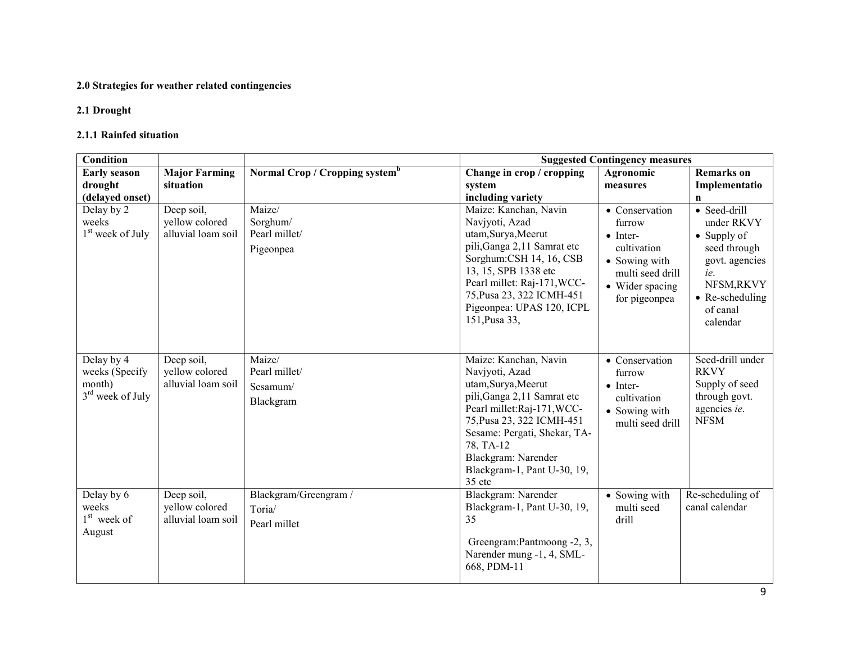## 2.0 Strategies for weather related contingencies

#### 2.1 Drought

#### 2.1.1 Rainfed situation

| <b>Condition</b>                                             |                                                    |                                                  |                                                                                                                                                                                                                                                                       | <b>Suggested Contingency measures</b>                                                                                                |                                                                                                                                                            |
|--------------------------------------------------------------|----------------------------------------------------|--------------------------------------------------|-----------------------------------------------------------------------------------------------------------------------------------------------------------------------------------------------------------------------------------------------------------------------|--------------------------------------------------------------------------------------------------------------------------------------|------------------------------------------------------------------------------------------------------------------------------------------------------------|
| <b>Early season</b><br>drought<br>(delayed onset)            | <b>Major Farming</b><br>situation                  | Normal Crop / Cropping system <sup>b</sup>       | Change in crop / cropping<br>system<br>including variety                                                                                                                                                                                                              | Agronomic<br>measures                                                                                                                | <b>Remarks</b> on<br>Implementatio<br>n                                                                                                                    |
| Delay by 2<br>weeks<br>1 <sup>st</sup> week of July          | Deep soil,<br>yellow colored<br>alluvial loam soil | Maize/<br>Sorghum/<br>Pearl millet/<br>Pigeonpea | Maize: Kanchan, Navin<br>Navjyoti, Azad<br>utam, Surya, Meerut<br>pili, Ganga 2,11 Samrat etc<br>Sorghum: CSH 14, 16, CSB<br>13, 15, SPB 1338 etc<br>Pearl millet: Raj-171, WCC-<br>75, Pusa 23, 322 ICMH-451<br>Pigeonpea: UPAS 120, ICPL<br>151, Pusa 33,           | • Conservation<br>furrow<br>$\bullet$ Inter-<br>cultivation<br>• Sowing with<br>multi seed drill<br>• Wider spacing<br>for pigeonpea | • Seed-drill<br>under RKVY<br>$\bullet$ Supply of<br>seed through<br>govt. agencies<br>ie.<br>NFSM,RKVY<br>$\bullet$ Re-scheduling<br>of canal<br>calendar |
| Delay by 4<br>weeks (Specify<br>month)<br>$3rd$ week of July | Deep soil,<br>yellow colored<br>alluvial loam soil | Maize/<br>Pearl millet/<br>Sesamum/<br>Blackgram | Maize: Kanchan, Navin<br>Navjyoti, Azad<br>utam, Surya, Meerut<br>pili, Ganga 2,11 Samrat etc<br>Pearl millet:Raj-171, WCC-<br>75, Pusa 23, 322 ICMH-451<br>Sesame: Pergati, Shekar, TA-<br>78, TA-12<br>Blackgram: Narender<br>Blackgram-1, Pant U-30, 19,<br>35 etc | • Conservation<br>furrow<br>$\bullet$ Inter-<br>cultivation<br>• Sowing with<br>multi seed drill                                     | Seed-drill under<br><b>RKVY</b><br>Supply of seed<br>through govt.<br>agencies ie.<br><b>NFSM</b>                                                          |
| Delay by 6<br>weeks<br>$1st$ week of<br>August               | Deep soil,<br>yellow colored<br>alluvial loam soil | Blackgram/Greengram /<br>Toria/<br>Pearl millet  | Blackgram: Narender<br>Blackgram-1, Pant U-30, 19,<br>35<br>Greengram: Pantmoong -2, 3,<br>Narender mung -1, 4, SML-<br>668, PDM-11                                                                                                                                   | • Sowing with<br>multi seed<br>drill                                                                                                 | Re-scheduling of<br>canal calendar                                                                                                                         |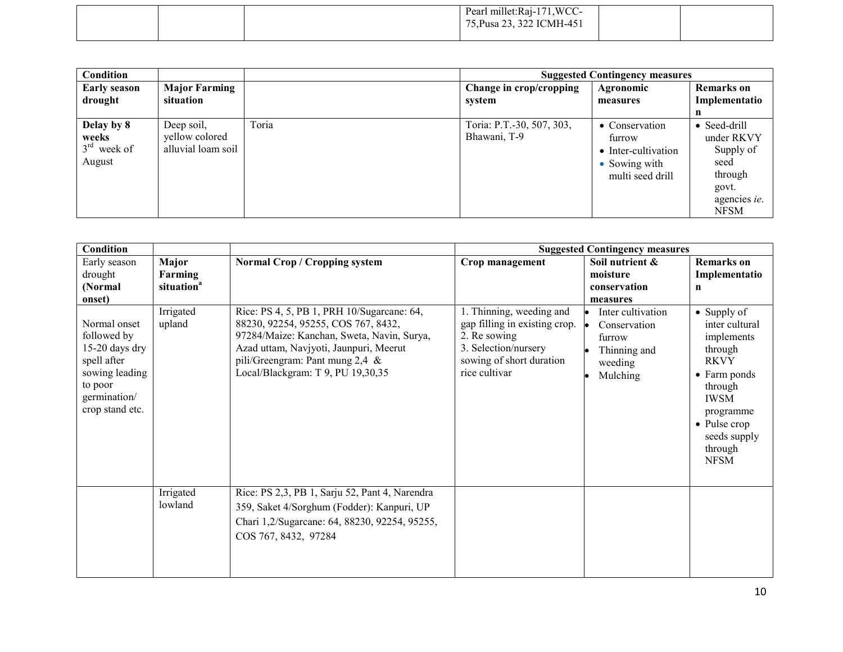|  | Pearl millet:Raj-171, WCC-<br>75, Pusa 23, 322 ICMH-451 |  |
|--|---------------------------------------------------------|--|
|  |                                                         |  |

| Condition                                      |                                                    |       |                                           | <b>Suggested Contingency measures</b>                                                |                                                                                                     |
|------------------------------------------------|----------------------------------------------------|-------|-------------------------------------------|--------------------------------------------------------------------------------------|-----------------------------------------------------------------------------------------------------|
| <b>Early season</b>                            | <b>Major Farming</b>                               |       | Change in crop/cropping                   | Agronomic                                                                            | <b>Remarks</b> on                                                                                   |
| drought                                        | situation                                          |       | system                                    | measures                                                                             | Implementatio                                                                                       |
|                                                |                                                    |       |                                           |                                                                                      | n                                                                                                   |
| Delay by 8<br>weeks<br>$3rd$ week of<br>August | Deep soil,<br>yellow colored<br>alluvial loam soil | Toria | Toria: P.T.-30, 507, 303,<br>Bhawani, T-9 | • Conservation<br>furrow<br>• Inter-cultivation<br>• Sowing with<br>multi seed drill | $\bullet$ Seed-drill<br>under RKVY<br>Supply of<br>seed<br>through<br>govt.<br>agencies ie.<br>NFSM |

| Condition                                                                                                                    |                                            |                                                                                                                                                                                                                                                      |                                                                                                                                                          | <b>Suggested Contingency measures</b>                                              |                                                                                                                                                                                                        |
|------------------------------------------------------------------------------------------------------------------------------|--------------------------------------------|------------------------------------------------------------------------------------------------------------------------------------------------------------------------------------------------------------------------------------------------------|----------------------------------------------------------------------------------------------------------------------------------------------------------|------------------------------------------------------------------------------------|--------------------------------------------------------------------------------------------------------------------------------------------------------------------------------------------------------|
| Early season<br>drought<br>(Normal)<br>onset)                                                                                | Major<br>Farming<br>situation <sup>a</sup> | <b>Normal Crop / Cropping system</b>                                                                                                                                                                                                                 | Crop management                                                                                                                                          | Soil nutrient &<br>moisture<br>conservation<br>measures                            | <b>Remarks</b> on<br>Implementatio<br>n                                                                                                                                                                |
| Normal onset<br>followed by<br>15-20 days dry<br>spell after<br>sowing leading<br>to poor<br>germination/<br>crop stand etc. | <b>Irrigated</b><br>upland                 | Rice: PS 4, 5, PB 1, PRH 10/Sugarcane: 64,<br>88230, 92254, 95255, COS 767, 8432,<br>97284/Maize: Kanchan, Sweta, Navin, Surya,<br>Azad uttam, Navjyoti, Jaunpuri, Meerut<br>pili/Greengram: Pant mung $2,4 \&$<br>Local/Blackgram: T 9, PU 19,30,35 | 1. Thinning, weeding and<br>gap filling in existing crop. $\bullet$<br>2. Re sowing<br>3. Selection/nursery<br>sowing of short duration<br>rice cultivar | Inter cultivation<br>Conservation<br>furrow<br>Thinning and<br>weeding<br>Mulching | $\bullet$ Supply of<br>inter cultural<br>implements<br>through<br><b>RKVY</b><br>• Farm ponds<br>through<br><b>IWSM</b><br>programme<br>$\bullet$ Pulse crop<br>seeds supply<br>through<br><b>NFSM</b> |
|                                                                                                                              | Irrigated<br>lowland                       | Rice: PS 2,3, PB 1, Sarju 52, Pant 4, Narendra<br>359, Saket 4/Sorghum (Fodder): Kanpuri, UP<br>Chari 1,2/Sugarcane: 64, 88230, 92254, 95255,<br>COS 767, 8432, 97284                                                                                |                                                                                                                                                          |                                                                                    |                                                                                                                                                                                                        |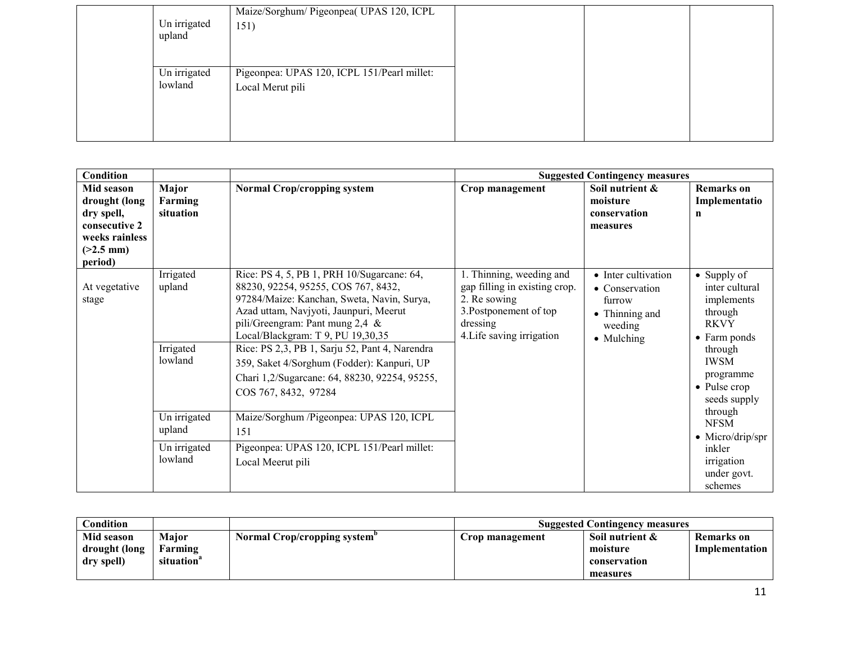| Un irrigated<br>upland  | Maize/Sorghum/ Pigeonpea( UPAS 120, ICPL<br>151)                |  |
|-------------------------|-----------------------------------------------------------------|--|
| Un irrigated<br>lowland | Pigeonpea: UPAS 120, ICPL 151/Pearl millet:<br>Local Merut pili |  |

| <b>Condition</b>                                                                                       |                                             |                                                                                                                                                                                                                                                                                                                                                                                                                               |                                                                                                                                              | <b>Suggested Contingency measures</b>                                                      |                                                                                                                                                                              |
|--------------------------------------------------------------------------------------------------------|---------------------------------------------|-------------------------------------------------------------------------------------------------------------------------------------------------------------------------------------------------------------------------------------------------------------------------------------------------------------------------------------------------------------------------------------------------------------------------------|----------------------------------------------------------------------------------------------------------------------------------------------|--------------------------------------------------------------------------------------------|------------------------------------------------------------------------------------------------------------------------------------------------------------------------------|
| Mid season<br>drought (long<br>dry spell,<br>consecutive 2<br>weeks rainless<br>$(>2.5$ mm)<br>period) | Major<br>Farming<br>situation               | <b>Normal Crop/cropping system</b>                                                                                                                                                                                                                                                                                                                                                                                            | Crop management                                                                                                                              | Soil nutrient &<br>moisture<br>conservation<br>measures                                    | <b>Remarks</b> on<br>Implementatio<br>n                                                                                                                                      |
| At vegetative<br>stage                                                                                 | Irrigated<br>upland<br>Irrigated<br>lowland | Rice: PS 4, 5, PB 1, PRH 10/Sugarcane: 64,<br>88230, 92254, 95255, COS 767, 8432,<br>97284/Maize: Kanchan, Sweta, Navin, Surya,<br>Azad uttam, Navjyoti, Jaunpuri, Meerut<br>pili/Greengram: Pant mung $2,4 \&$<br>Local/Blackgram: T 9, PU 19,30,35<br>Rice: PS 2,3, PB 1, Sarju 52, Pant 4, Narendra<br>359, Saket 4/Sorghum (Fodder): Kanpuri, UP<br>Chari 1,2/Sugarcane: 64, 88230, 92254, 95255,<br>COS 767, 8432, 97284 | 1. Thinning, weeding and<br>gap filling in existing crop.<br>2. Re sowing<br>3. Postponement of top<br>dressing<br>4. Life saving irrigation | • Inter cultivation<br>• Conservation<br>furrow<br>• Thinning and<br>weeding<br>• Mulching | • Supply of<br>inter cultural<br>implements<br>through<br><b>RKVY</b><br>$\bullet$ Farm ponds<br>through<br><b>IWSM</b><br>programme<br>$\bullet$ Pulse crop<br>seeds supply |
|                                                                                                        | Un irrigated<br>upland                      | Maize/Sorghum /Pigeonpea: UPAS 120, ICPL<br>151                                                                                                                                                                                                                                                                                                                                                                               |                                                                                                                                              |                                                                                            | through<br><b>NFSM</b><br>$\bullet$ Micro/drip/spr                                                                                                                           |
|                                                                                                        | Un irrigated<br>lowland                     | Pigeonpea: UPAS 120, ICPL 151/Pearl millet:<br>Local Meerut pili                                                                                                                                                                                                                                                                                                                                                              |                                                                                                                                              |                                                                                            | inkler<br>irrigation<br>under govt.<br>schemes                                                                                                                               |

| Condition     |                        |                                          | <b>Suggested Contingency measures</b> |                 |                |
|---------------|------------------------|------------------------------------------|---------------------------------------|-----------------|----------------|
| Mid season    | <b>Maior</b>           | Normal Crop/cropping system <sup>"</sup> | Crop management                       | Soil nutrient & | Remarks on     |
| drought (long | Farming                |                                          |                                       | moisture        | Implementation |
| dry spell)    | situation <sup>a</sup> |                                          |                                       | conservation    |                |
|               |                        |                                          |                                       | measures        |                |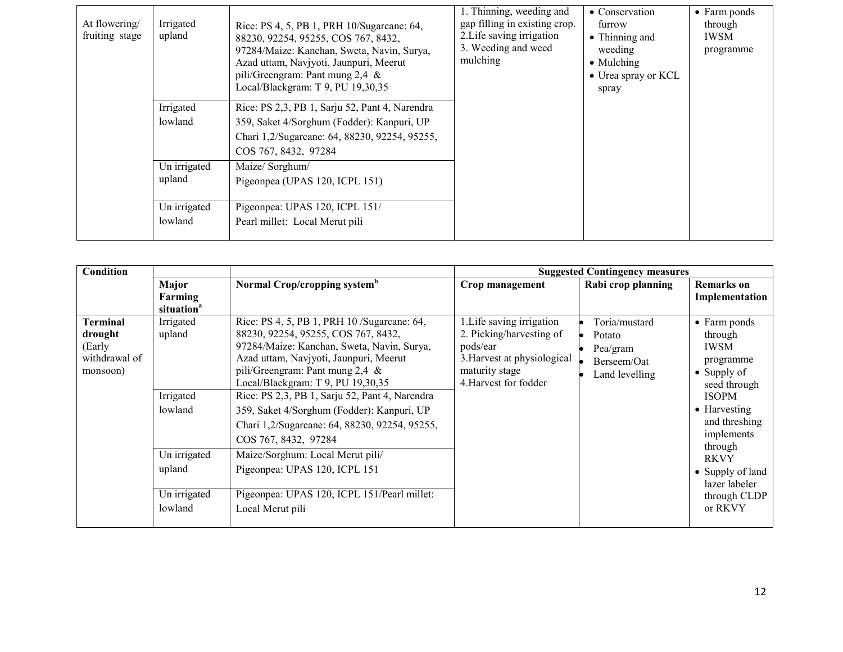| At flowering/<br>fruiting stage | Irrigated<br>upland     | Rice: PS 4, 5, PB 1, PRH 10/Sugarcane: 64,<br>88230, 92254, 95255, COS 767, 8432,<br>97284/Maize: Kanchan, Sweta, Navin, Surya,<br>Azad uttam, Navjyoti, Jaunpuri, Meerut<br>pili/Greengram: Pant mung $2,4 \&$<br>Local/Blackgram: T 9, PU 19,30,35 | 1. Thinning, weeding and<br>gap filling in existing crop.<br>2. Life saving irrigation<br>3. Weeding and weed<br>mulching | • Conservation<br>furrow<br>$\bullet$ Thinning and<br>weeding<br>• Mulching<br>• Urea spray or KCL<br>spray | $\bullet$ Farm ponds<br>through<br>IWSM<br>programme |
|---------------------------------|-------------------------|------------------------------------------------------------------------------------------------------------------------------------------------------------------------------------------------------------------------------------------------------|---------------------------------------------------------------------------------------------------------------------------|-------------------------------------------------------------------------------------------------------------|------------------------------------------------------|
|                                 | Irrigated<br>lowland    | Rice: PS 2,3, PB 1, Sarju 52, Pant 4, Narendra<br>359, Saket 4/Sorghum (Fodder): Kanpuri, UP<br>Chari 1,2/Sugarcane: 64, 88230, 92254, 95255,<br>COS 767, 8432, 97284                                                                                |                                                                                                                           |                                                                                                             |                                                      |
|                                 | Un irrigated<br>upland  | Maize/ Sorghum/<br>Pigeonpea (UPAS 120, ICPL 151)                                                                                                                                                                                                    |                                                                                                                           |                                                                                                             |                                                      |
|                                 | Un irrigated<br>lowland | Pigeonpea: UPAS 120, ICPL 151/<br>Pearl millet: Local Merut pili                                                                                                                                                                                     |                                                                                                                           |                                                                                                             |                                                      |

| Condition                                                  |                                                                                                  |                                                                                                                                                                                                                                                                                                                                                                                                                                                                                                                                                                      | <b>Suggested Contingency measures</b>                                                                                                       |                                                                      |                                                                                                                                                                                                                                                             |
|------------------------------------------------------------|--------------------------------------------------------------------------------------------------|----------------------------------------------------------------------------------------------------------------------------------------------------------------------------------------------------------------------------------------------------------------------------------------------------------------------------------------------------------------------------------------------------------------------------------------------------------------------------------------------------------------------------------------------------------------------|---------------------------------------------------------------------------------------------------------------------------------------------|----------------------------------------------------------------------|-------------------------------------------------------------------------------------------------------------------------------------------------------------------------------------------------------------------------------------------------------------|
|                                                            | Major<br>Farming                                                                                 | Normal Crop/cropping system <sup>b</sup>                                                                                                                                                                                                                                                                                                                                                                                                                                                                                                                             | Crop management                                                                                                                             | Rabi crop planning                                                   | <b>Remarks</b> on<br>Implementation                                                                                                                                                                                                                         |
|                                                            | situation <sup>a</sup>                                                                           |                                                                                                                                                                                                                                                                                                                                                                                                                                                                                                                                                                      |                                                                                                                                             |                                                                      |                                                                                                                                                                                                                                                             |
| Terminal<br>drought<br>(Early<br>withdrawal of<br>monsoon) | Irrigated<br>upland<br>Irrigated<br>lowland<br>Un irrigated<br>upland<br>Un irrigated<br>lowland | Rice: PS 4, 5, PB 1, PRH 10 / Sugarcane: 64,<br>88230, 92254, 95255, COS 767, 8432,<br>97284/Maize: Kanchan, Sweta, Navin, Surya,<br>Azad uttam, Navjyoti, Jaunpuri, Meerut<br>pili/Greengram: Pant mung 2,4 &<br>Local/Blackgram: T 9, PU 19,30,35<br>Rice: PS 2,3, PB 1, Sarju 52, Pant 4, Narendra<br>359, Saket 4/Sorghum (Fodder): Kanpuri, UP<br>Chari 1,2/Sugarcane: 64, 88230, 92254, 95255,<br>COS 767, 8432, 97284<br>Maize/Sorghum: Local Merut pili/<br>Pigeonpea: UPAS 120, ICPL 151<br>Pigeonpea: UPAS 120, ICPL 151/Pearl millet:<br>Local Merut pili | 1. Life saving irrigation<br>2. Picking/harvesting of<br>pods/ear<br>3. Harvest at physiological<br>maturity stage<br>4. Harvest for fodder | Toria/mustard<br>Potato<br>Pea/gram<br>Berseem/Oat<br>Land levelling | $\bullet$ Farm ponds<br>through<br><b>IWSM</b><br>programme<br>$\bullet$ Supply of<br>seed through<br><b>ISOPM</b><br>• Harvesting<br>and threshing<br>implements<br>through<br><b>RKVY</b><br>• Supply of land<br>lazer labeler<br>through CLDP<br>or RKVY |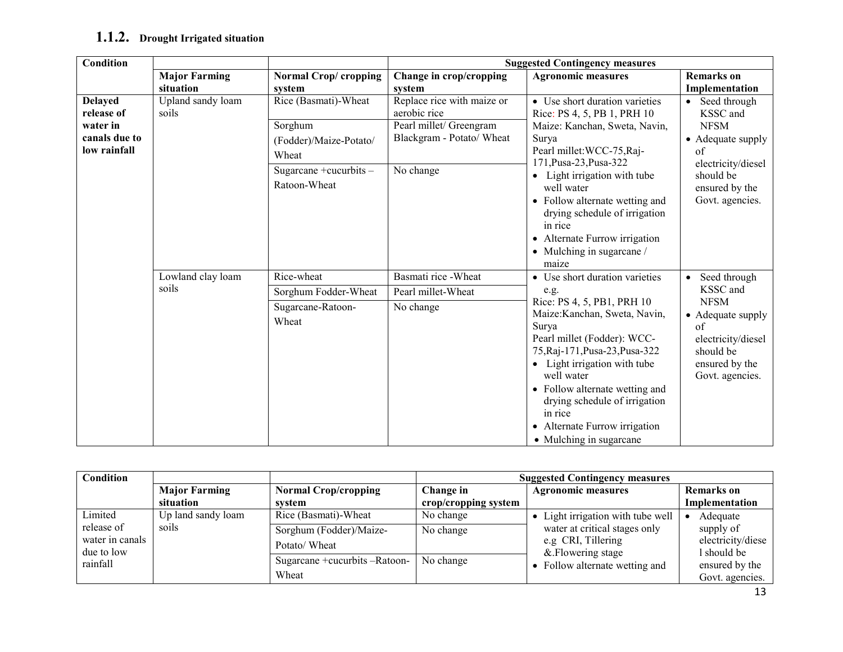# $1.1.2.$  Drought Irrigated situation

| <b>Condition</b>                                                          |                            |                                                                                                                 |                                                                                                                 | <b>Suggested Contingency measures</b>                                                                                                                                                                                                                                                                                                                                                     |                                                                                                                                            |  |
|---------------------------------------------------------------------------|----------------------------|-----------------------------------------------------------------------------------------------------------------|-----------------------------------------------------------------------------------------------------------------|-------------------------------------------------------------------------------------------------------------------------------------------------------------------------------------------------------------------------------------------------------------------------------------------------------------------------------------------------------------------------------------------|--------------------------------------------------------------------------------------------------------------------------------------------|--|
|                                                                           | <b>Major Farming</b>       | Normal Crop/cropping                                                                                            | Change in crop/cropping                                                                                         | <b>Agronomic measures</b>                                                                                                                                                                                                                                                                                                                                                                 | <b>Remarks</b> on                                                                                                                          |  |
|                                                                           | situation                  | system                                                                                                          | system                                                                                                          |                                                                                                                                                                                                                                                                                                                                                                                           | Implementation                                                                                                                             |  |
| <b>Delayed</b><br>release of<br>water in<br>canals due to<br>low rainfall | Upland sandy loam<br>soils | Rice (Basmati)-Wheat<br>Sorghum<br>(Fodder)/Maize-Potato/<br>Wheat<br>Sugarcane + cucurbits $-$<br>Ratoon-Wheat | Replace rice with maize or<br>aerobic rice<br>Pearl millet/ Greengram<br>Blackgram - Potato/ Wheat<br>No change | • Use short duration varieties<br>Rice: PS 4, 5, PB 1, PRH 10<br>Maize: Kanchan, Sweta, Navin,<br>Surya<br>Pearl millet: WCC-75, Raj-<br>171, Pusa-23, Pusa-322<br>Light irrigation with tube<br>well water<br>• Follow alternate wetting and<br>drying schedule of irrigation<br>in rice<br>• Alternate Furrow irrigation<br>$\bullet$ Mulching in sugarcane /                           | Seed through<br>KSSC and<br><b>NFSM</b><br>• Adequate supply<br>of<br>electricity/diesel<br>should be<br>ensured by the<br>Govt. agencies. |  |
|                                                                           | Lowland clay loam<br>soils | Rice-wheat<br>Sorghum Fodder-Wheat<br>Sugarcane-Ratoon-<br>Wheat                                                | Basmati rice - Wheat<br>Pearl millet-Wheat<br>No change                                                         | maize<br>Use short duration varieties<br>$\bullet$<br>e.g.<br>Rice: PS 4, 5, PB1, PRH 10<br>Maize: Kanchan, Sweta, Navin,<br>Surya<br>Pearl millet (Fodder): WCC-<br>75, Raj-171, Pusa-23, Pusa-322<br>• Light irrigation with tube<br>well water<br>• Follow alternate wetting and<br>drying schedule of irrigation<br>in rice<br>Alternate Furrow irrigation<br>• Mulching in sugarcane | Seed through<br>KSSC and<br><b>NFSM</b><br>• Adequate supply<br>of<br>electricity/diesel<br>should be<br>ensured by the<br>Govt. agencies. |  |

| Condition       |                      |                               | <b>Suggested Contingency measures</b> |                                 |                   |  |
|-----------------|----------------------|-------------------------------|---------------------------------------|---------------------------------|-------------------|--|
|                 | <b>Major Farming</b> | <b>Normal Crop/cropping</b>   | Change in                             | <b>Agronomic measures</b>       | <b>Remarks</b> on |  |
|                 | situation            | svstem                        | crop/cropping system                  |                                 | Implementation    |  |
| Limited         | Up land sandy loam   | Rice (Basmati)-Wheat          | No change                             | Light irrigation with tube well | Adequate          |  |
| release of      | soils                | Sorghum (Fodder)/Maize-       | No change                             | water at critical stages only   | supply of         |  |
| water in canals |                      | Potato/Wheat                  |                                       | e.g CRI, Tillering              | electricity/diese |  |
| due to low      |                      | Sugarcane +cucurbits -Ratoon- |                                       | & Flowering stage               | 1 should be       |  |
| rainfall        |                      |                               | No change                             | Follow alternate wetting and    | ensured by the    |  |
|                 |                      | Wheat                         |                                       |                                 | Govt. agencies.   |  |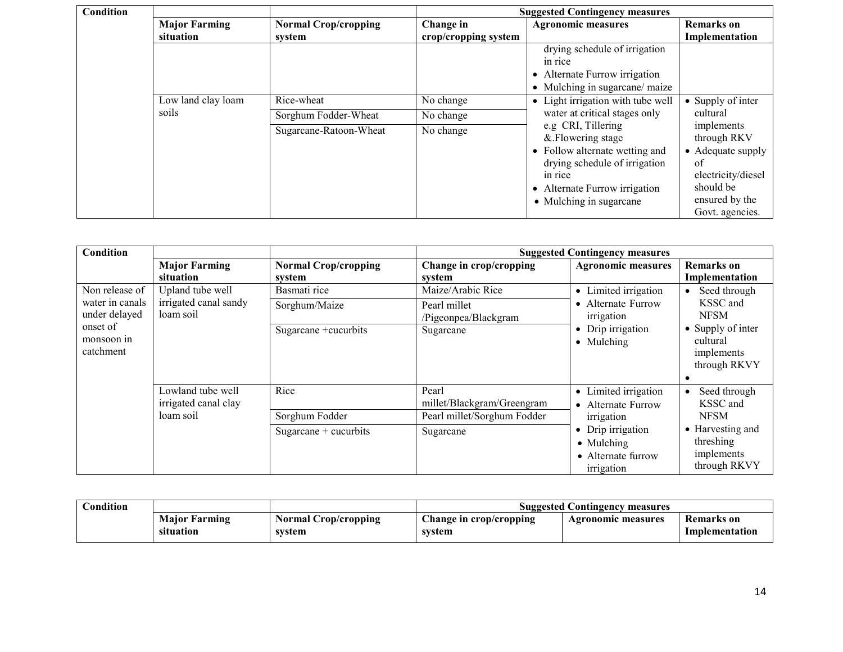| Condition |                      |                             | <b>Suggested Contingency measures</b> |                                   |                           |  |
|-----------|----------------------|-----------------------------|---------------------------------------|-----------------------------------|---------------------------|--|
|           | <b>Major Farming</b> | <b>Normal Crop/cropping</b> | Change in                             | <b>Agronomic measures</b>         | <b>Remarks</b> on         |  |
|           | situation            | system                      | crop/cropping system                  |                                   | Implementation            |  |
|           |                      |                             |                                       | drying schedule of irrigation     |                           |  |
|           |                      |                             |                                       | in rice                           |                           |  |
|           |                      |                             |                                       | • Alternate Furrow irrigation     |                           |  |
|           |                      |                             |                                       | • Mulching in sugarcane/ maize    |                           |  |
|           | Low land clay loam   | Rice-wheat                  | No change                             | • Light irrigation with tube well | $\bullet$ Supply of inter |  |
|           | soils                | Sorghum Fodder-Wheat        | No change                             | water at critical stages only     | cultural                  |  |
|           |                      | Sugarcane-Ratoon-Wheat      | No change                             | e.g CRI, Tillering                | implements                |  |
|           |                      |                             |                                       | & Flowering stage                 | through RKV               |  |
|           |                      |                             |                                       | • Follow alternate wetting and    | • Adequate supply         |  |
|           |                      |                             |                                       | drying schedule of irrigation     | of                        |  |
|           |                      |                             |                                       | in rice                           | electricity/diesel        |  |
|           |                      |                             |                                       | • Alternate Furrow irrigation     | should be                 |  |
|           |                      |                             |                                       | • Mulching in sugarcane           | ensured by the            |  |
|           |                      |                             |                                       |                                   | Govt. agencies.           |  |

| Condition       |                       |                             |                             | <b>Suggested Contingency measures</b> |                   |
|-----------------|-----------------------|-----------------------------|-----------------------------|---------------------------------------|-------------------|
|                 | <b>Major Farming</b>  | <b>Normal Crop/cropping</b> | Change in crop/cropping     | <b>Agronomic measures</b>             | <b>Remarks</b> on |
|                 | situation             | system                      | system                      |                                       | Implementation    |
| Non release of  | Upland tube well      | Basmati rice                | Maize/Arabic Rice           | • Limited irrigation                  | Seed through      |
| water in canals | irrigated canal sandy | Sorghum/Maize               | Pearl millet                | • Alternate Furrow                    | KSSC and          |
| under delayed   | loam soil             |                             | /Pigeonpea/Blackgram        | irrigation                            | <b>NFSM</b>       |
| onset of        |                       | Sugarcane + cucurbits       | Sugarcane                   | • Drip irrigation                     | • Supply of inter |
| monsoon in      |                       |                             |                             | • Mulching                            | cultural          |
| catchment       |                       |                             |                             |                                       | implements        |
|                 |                       |                             |                             |                                       | through RKVY      |
|                 |                       |                             |                             |                                       |                   |
|                 | Lowland tube well     | Rice                        | Pearl                       | • Limited irrigation                  | Seed through      |
|                 | irrigated canal clay  |                             | millet/Blackgram/Greengram  | • Alternate Furrow                    | KSSC and          |
|                 | loam soil             | Sorghum Fodder              | Pearl millet/Sorghum Fodder | irrigation                            | <b>NFSM</b>       |
|                 |                       | Sugarcane $+$ cucurbits     | Sugarcane                   | • Drip irrigation                     | • Harvesting and  |
|                 |                       |                             |                             | $\bullet$ Mulching                    | threshing         |
|                 |                       |                             |                             | • Alternate furrow                    | implements        |
|                 |                       |                             |                             | irrigation                            | through RKVY      |

| Condition |                      |                      | <b>Suggested Contingency measures</b> |                    |                |  |
|-----------|----------------------|----------------------|---------------------------------------|--------------------|----------------|--|
|           | <b>Maior Farming</b> | Normal Crop/cropping | Change in crop/cropping               | Agronomic measures | Remarks on     |  |
|           | situation            | svstem               | system                                |                    | Implementation |  |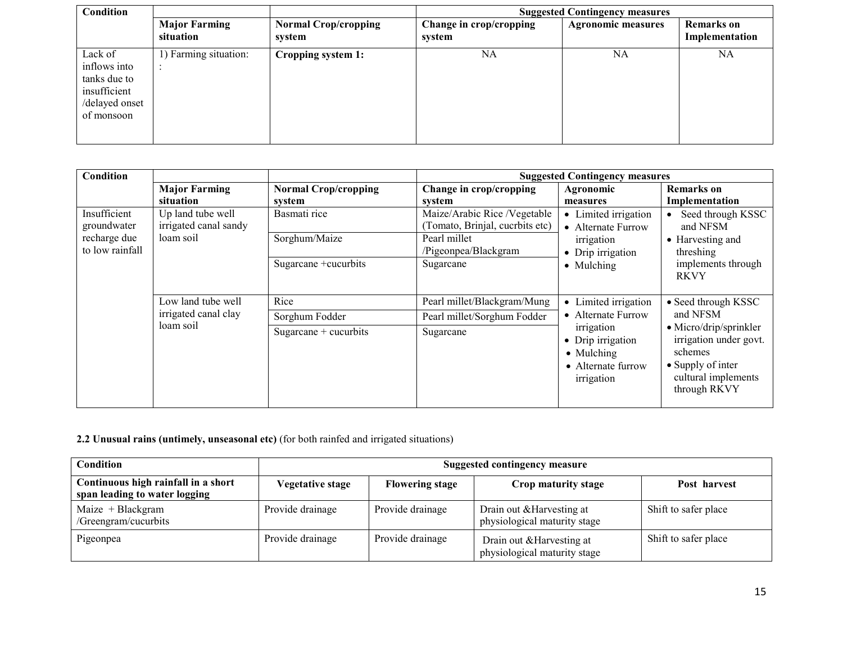| Condition                                                                               |                                   |                                       | <b>Suggested Contingency measures</b> |                           |                                     |  |  |
|-----------------------------------------------------------------------------------------|-----------------------------------|---------------------------------------|---------------------------------------|---------------------------|-------------------------------------|--|--|
|                                                                                         | <b>Major Farming</b><br>situation | <b>Normal Crop/cropping</b><br>system | Change in crop/cropping<br>system     | <b>Agronomic measures</b> | <b>Remarks</b> on<br>Implementation |  |  |
| Lack of<br>inflows into<br>tanks due to<br>insufficient<br>/delayed onset<br>of monsoon | 1) Farming situation:             | Cropping system 1:                    | NA                                    | <b>NA</b>                 | NA                                  |  |  |

| Condition                                                      |                                                         |                                       | <b>Suggested Contingency measures</b>                           |                                                                                   |                                                                                                                                 |  |
|----------------------------------------------------------------|---------------------------------------------------------|---------------------------------------|-----------------------------------------------------------------|-----------------------------------------------------------------------------------|---------------------------------------------------------------------------------------------------------------------------------|--|
|                                                                | <b>Major Farming</b><br>situation                       | <b>Normal Crop/cropping</b><br>system | Change in crop/cropping<br>system                               | Agronomic<br>measures                                                             | <b>Remarks</b> on<br>Implementation                                                                                             |  |
| Insufficient<br>groundwater<br>recharge due<br>to low rainfall | Up land tube well<br>irrigated canal sandy<br>loam soil | Basmati rice                          | Maize/Arabic Rice /Vegetable<br>(Tomato, Brinjal, cucrbits etc) | • Limited irrigation<br>• Alternate Furrow                                        | Seed through KSSC<br>and NFSM                                                                                                   |  |
|                                                                |                                                         | Sorghum/Maize                         | Pearl millet<br>/Pigeonpea/Blackgram                            | irrigation<br>• Drip irrigation                                                   | • Harvesting and<br>threshing                                                                                                   |  |
|                                                                |                                                         | Sugarcane +cucurbits                  | Sugarcane                                                       | $\bullet$ Mulching                                                                | implements through<br><b>RKVY</b>                                                                                               |  |
|                                                                | Low land tube well                                      | Rice                                  | Pearl millet/Blackgram/Mung                                     | • Limited irrigation                                                              | • Seed through KSSC                                                                                                             |  |
|                                                                | irrigated canal clay                                    | Sorghum Fodder                        | Pearl millet/Sorghum Fodder                                     | • Alternate Furrow                                                                | and NFSM                                                                                                                        |  |
|                                                                | loam soil                                               | Sugarcane $+$ cucurbits               | Sugarcane                                                       | irrigation<br>• Drip irrigation<br>• Mulching<br>• Alternate furrow<br>irrigation | $\bullet$ Micro/drip/sprinkler<br>irrigation under govt.<br>schemes<br>• Supply of inter<br>cultural implements<br>through RKVY |  |

### 2.2 Unusual rains (untimely, unseasonal etc) (for both rainfed and irrigated situations)

| <b>Condition</b>                                                     | <b>Suggested contingency measure</b> |                        |                                                           |                      |  |
|----------------------------------------------------------------------|--------------------------------------|------------------------|-----------------------------------------------------------|----------------------|--|
| Continuous high rainfall in a short<br>span leading to water logging | <b>Vegetative stage</b>              | <b>Flowering stage</b> | Crop maturity stage                                       | Post harvest         |  |
| $Maize + Blackgram$<br>/Greengram/cucurbits                          | Provide drainage                     | Provide drainage       | Drain out & Harvesting at<br>physiological maturity stage | Shift to safer place |  |
| Pigeonpea                                                            | Provide drainage                     | Provide drainage       | Drain out & Harvesting at<br>physiological maturity stage | Shift to safer place |  |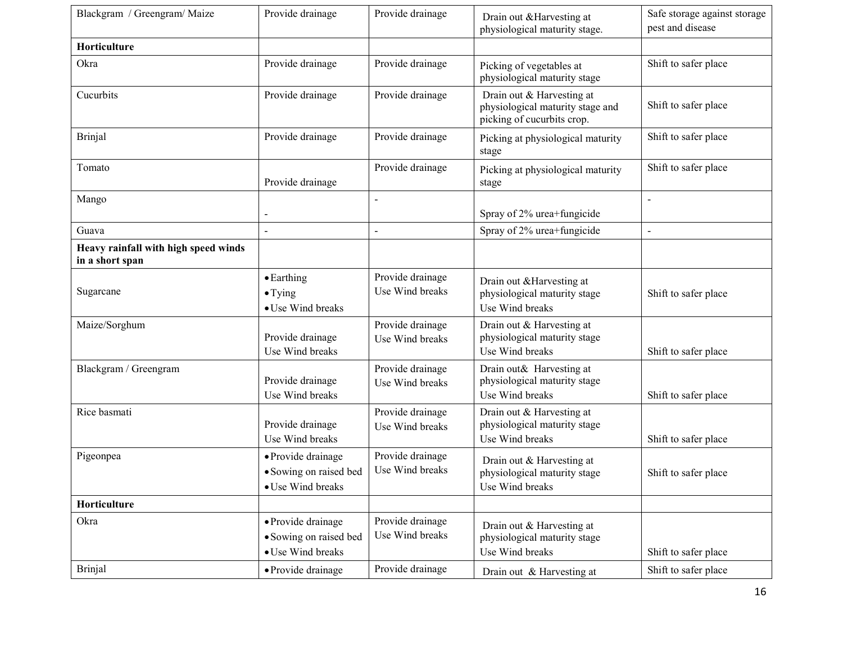| Blackgram / Greengram/ Maize                            | Provide drainage                                                  | Provide drainage                    | Drain out & Harvesting at<br>physiological maturity stage.                                  | Safe storage against storage<br>pest and disease |
|---------------------------------------------------------|-------------------------------------------------------------------|-------------------------------------|---------------------------------------------------------------------------------------------|--------------------------------------------------|
| Horticulture                                            |                                                                   |                                     |                                                                                             |                                                  |
| Okra                                                    | Provide drainage                                                  | Provide drainage                    | Picking of vegetables at<br>physiological maturity stage                                    | Shift to safer place                             |
| Cucurbits                                               | Provide drainage                                                  | Provide drainage                    | Drain out & Harvesting at<br>physiological maturity stage and<br>picking of cucurbits crop. | Shift to safer place                             |
| <b>Brinjal</b>                                          | Provide drainage                                                  | Provide drainage                    | Picking at physiological maturity<br>stage                                                  | Shift to safer place                             |
| Tomato                                                  | Provide drainage                                                  | Provide drainage                    | Picking at physiological maturity<br>stage                                                  | Shift to safer place                             |
| Mango                                                   |                                                                   | $\blacksquare$                      | Spray of 2% urea+fungicide                                                                  | $\overline{a}$                                   |
| Guava                                                   |                                                                   | $\blacksquare$                      | Spray of 2% urea+fungicide                                                                  | $\overline{a}$                                   |
| Heavy rainfall with high speed winds<br>in a short span |                                                                   |                                     |                                                                                             |                                                  |
| Sugarcane                                               | $\bullet$ Earthing<br>$\bullet$ Tying<br>• Use Wind breaks        | Provide drainage<br>Use Wind breaks | Drain out & Harvesting at<br>physiological maturity stage<br>Use Wind breaks                | Shift to safer place                             |
| Maize/Sorghum                                           | Provide drainage<br>Use Wind breaks                               | Provide drainage<br>Use Wind breaks | Drain out & Harvesting at<br>physiological maturity stage<br>Use Wind breaks                | Shift to safer place                             |
| Blackgram / Greengram                                   | Provide drainage<br>Use Wind breaks                               | Provide drainage<br>Use Wind breaks | Drain out& Harvesting at<br>physiological maturity stage<br>Use Wind breaks                 | Shift to safer place                             |
| Rice basmati                                            | Provide drainage<br>Use Wind breaks                               | Provide drainage<br>Use Wind breaks | Drain out & Harvesting at<br>physiological maturity stage<br>Use Wind breaks                | Shift to safer place                             |
| Pigeonpea                                               | · Provide drainage<br>• Sowing on raised bed<br>• Use Wind breaks | Provide drainage<br>Use Wind breaks | Drain out & Harvesting at<br>physiological maturity stage<br>Use Wind breaks                | Shift to safer place                             |
| Horticulture                                            |                                                                   |                                     |                                                                                             |                                                  |
| Okra                                                    | · Provide drainage<br>• Sowing on raised bed<br>• Use Wind breaks | Provide drainage<br>Use Wind breaks | Drain out & Harvesting at<br>physiological maturity stage<br>Use Wind breaks                | Shift to safer place                             |
| <b>Brinjal</b>                                          | • Provide drainage                                                | Provide drainage                    | Drain out & Harvesting at                                                                   | Shift to safer place                             |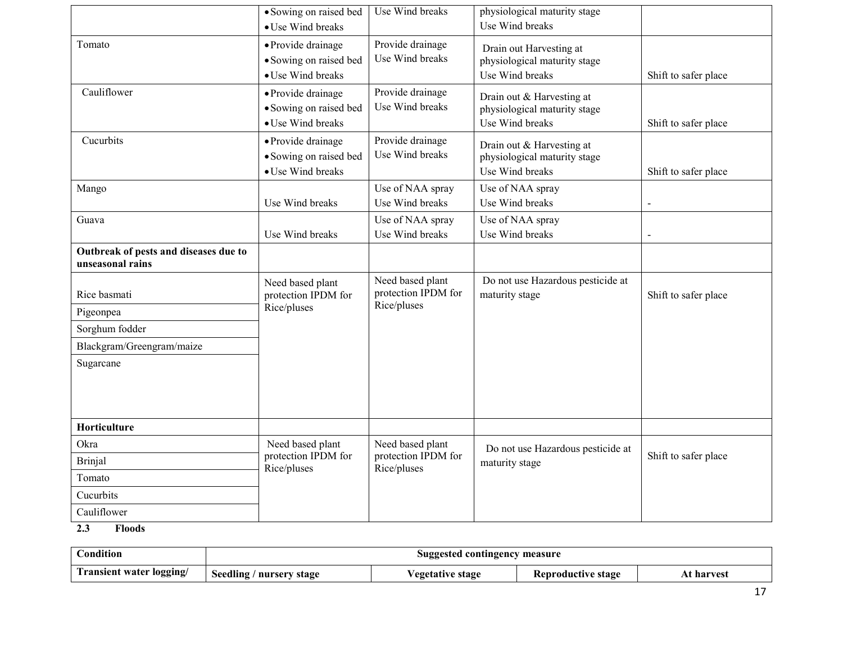|                                                           | • Sowing on raised bed<br>• Use Wind breaks                       | Use Wind breaks                         | physiological maturity stage<br>Use Wind breaks                              |                      |
|-----------------------------------------------------------|-------------------------------------------------------------------|-----------------------------------------|------------------------------------------------------------------------------|----------------------|
| Tomato                                                    | • Provide drainage<br>• Sowing on raised bed<br>• Use Wind breaks | Provide drainage<br>Use Wind breaks     | Drain out Harvesting at<br>physiological maturity stage<br>Use Wind breaks   | Shift to safer place |
| Cauliflower                                               | · Provide drainage<br>• Sowing on raised bed<br>• Use Wind breaks | Provide drainage<br>Use Wind breaks     | Drain out & Harvesting at<br>physiological maturity stage<br>Use Wind breaks | Shift to safer place |
| Cucurbits                                                 | · Provide drainage<br>• Sowing on raised bed<br>• Use Wind breaks | Provide drainage<br>Use Wind breaks     | Drain out & Harvesting at<br>physiological maturity stage<br>Use Wind breaks | Shift to safer place |
| Mango                                                     | Use Wind breaks                                                   | Use of NAA spray<br>Use Wind breaks     | Use of NAA spray<br>Use Wind breaks                                          | $\blacksquare$       |
| Guava                                                     | Use Wind breaks                                                   | Use of NAA spray<br>Use Wind breaks     | Use of NAA spray<br>Use Wind breaks                                          | $\overline{a}$       |
| Outbreak of pests and diseases due to<br>unseasonal rains |                                                                   |                                         |                                                                              |                      |
| Rice basmati                                              | Need based plant<br>protection IPDM for                           | Need based plant<br>protection IPDM for | Do not use Hazardous pesticide at<br>maturity stage                          | Shift to safer place |
| Pigeonpea                                                 | Rice/pluses                                                       | Rice/pluses                             |                                                                              |                      |
| Sorghum fodder                                            |                                                                   |                                         |                                                                              |                      |
| Blackgram/Greengram/maize                                 |                                                                   |                                         |                                                                              |                      |
| Sugarcane                                                 |                                                                   |                                         |                                                                              |                      |
| Horticulture                                              |                                                                   |                                         |                                                                              |                      |
| Okra                                                      | Need based plant                                                  | Need based plant                        | Do not use Hazardous pesticide at                                            |                      |
| <b>Brinjal</b>                                            | protection IPDM for<br>Rice/pluses                                | protection IPDM for<br>Rice/pluses      | maturity stage                                                               | Shift to safer place |
| Tomato                                                    |                                                                   |                                         |                                                                              |                      |
| Cucurbits                                                 |                                                                   |                                         |                                                                              |                      |
| Cauliflower                                               |                                                                   |                                         |                                                                              |                      |
|                                                           |                                                                   |                                         |                                                                              |                      |

2.3 Floods

| Condition                | Suggested contingency measure |                                |                    |            |
|--------------------------|-------------------------------|--------------------------------|--------------------|------------|
| Transient water logging/ | Seedling<br>/ nurserv stage   | <i><b>Vegetative stage</b></i> | Reproductive stage | At harvest |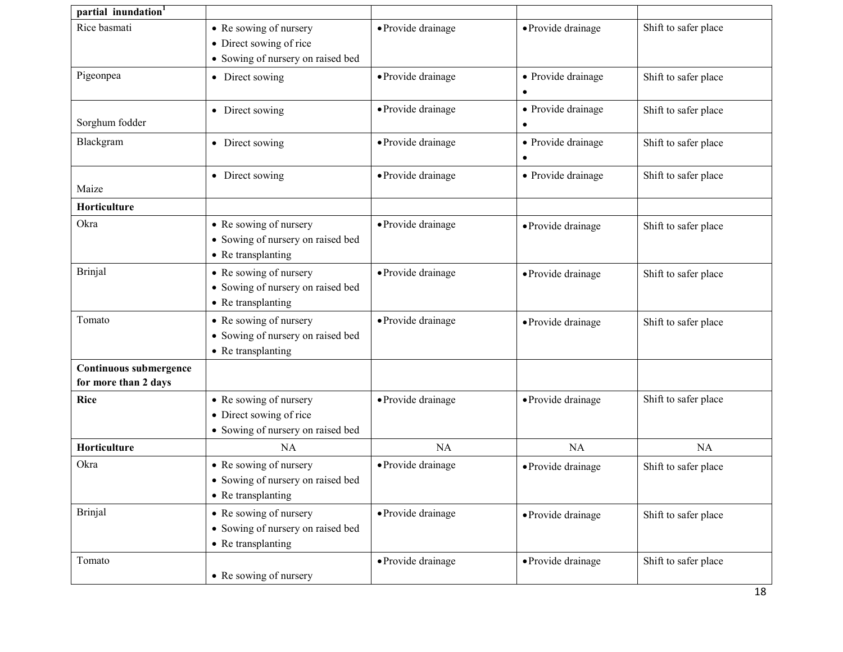| partial inundation <sup>1</sup>                |                                                                                        |                    |                                 |                      |
|------------------------------------------------|----------------------------------------------------------------------------------------|--------------------|---------------------------------|----------------------|
| Rice basmati                                   | • Re sowing of nursery<br>• Direct sowing of rice<br>• Sowing of nursery on raised bed | · Provide drainage | · Provide drainage              | Shift to safer place |
| Pigeonpea                                      | • Direct sowing                                                                        | · Provide drainage | • Provide drainage<br>$\bullet$ | Shift to safer place |
| Sorghum fodder                                 | • Direct sowing                                                                        | · Provide drainage | • Provide drainage<br>$\bullet$ | Shift to safer place |
| Blackgram                                      | • Direct sowing                                                                        | · Provide drainage | • Provide drainage              | Shift to safer place |
| Maize                                          | • Direct sowing                                                                        | • Provide drainage | • Provide drainage              | Shift to safer place |
| Horticulture                                   |                                                                                        |                    |                                 |                      |
| Okra                                           | • Re sowing of nursery<br>• Sowing of nursery on raised bed<br>• Re transplanting      | · Provide drainage | • Provide drainage              | Shift to safer place |
| <b>Brinjal</b>                                 | • Re sowing of nursery<br>• Sowing of nursery on raised bed<br>• Re transplanting      | · Provide drainage | • Provide drainage              | Shift to safer place |
| Tomato                                         | • Re sowing of nursery<br>• Sowing of nursery on raised bed<br>• Re transplanting      | · Provide drainage | · Provide drainage              | Shift to safer place |
| Continuous submergence<br>for more than 2 days |                                                                                        |                    |                                 |                      |
| Rice                                           | • Re sowing of nursery<br>• Direct sowing of rice<br>• Sowing of nursery on raised bed | · Provide drainage | · Provide drainage              | Shift to safer place |
| Horticulture                                   | <b>NA</b>                                                                              | NA                 | <b>NA</b>                       | <b>NA</b>            |
| Okra                                           | • Re sowing of nursery<br>• Sowing of nursery on raised bed<br>• Re transplanting      | • Provide drainage | • Provide drainage              | Shift to safer place |
| <b>Brinjal</b>                                 | • Re sowing of nursery<br>• Sowing of nursery on raised bed<br>• Re transplanting      | · Provide drainage | · Provide drainage              | Shift to safer place |
| Tomato                                         | • Re sowing of nursery                                                                 | · Provide drainage | · Provide drainage              | Shift to safer place |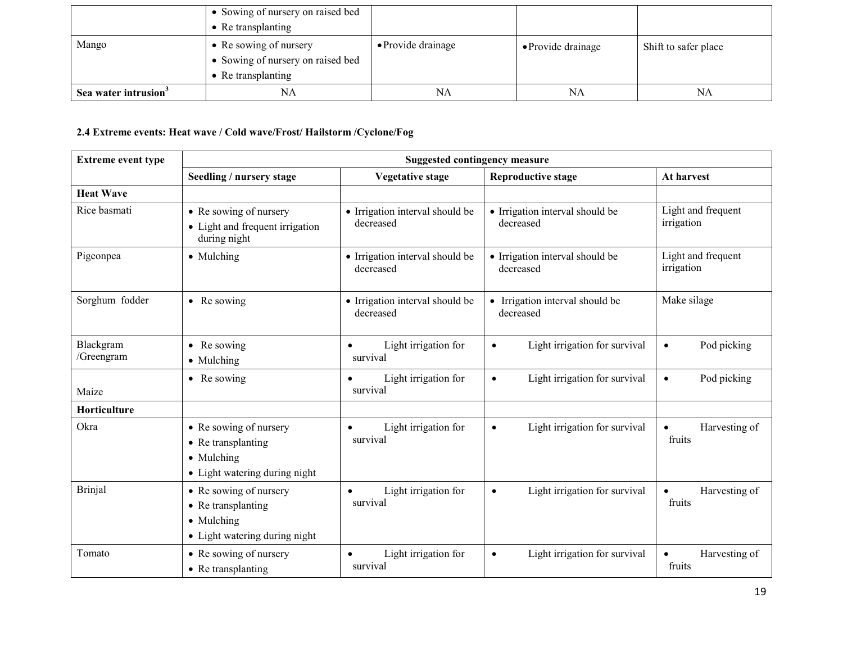|                                  | • Sowing of nursery on raised bed                                                         |                            |                    |                      |
|----------------------------------|-------------------------------------------------------------------------------------------|----------------------------|--------------------|----------------------|
|                                  | $\bullet$ Re transplanting                                                                |                            |                    |                      |
| Mango                            | • Re sowing of nursery<br>• Sowing of nursery on raised bed<br>$\bullet$ Re transplanting | $\bullet$ Provide drainage | • Provide drainage | Shift to safer place |
| Sea water intrusion <sup>3</sup> | NA                                                                                        | NA                         | NA                 | NA                   |

# 2.4 Extreme events: Heat wave / Cold wave/Frost/ Hailstorm /Cyclone/Fog

| <b>Extreme event type</b> | <b>Suggested contingency measure</b>                                                                |                                               |                                              |                                      |  |  |
|---------------------------|-----------------------------------------------------------------------------------------------------|-----------------------------------------------|----------------------------------------------|--------------------------------------|--|--|
|                           | Seedling / nursery stage                                                                            | <b>Vegetative stage</b>                       | <b>Reproductive stage</b>                    | At harvest                           |  |  |
| <b>Heat Wave</b>          |                                                                                                     |                                               |                                              |                                      |  |  |
| Rice basmati              | • Re sowing of nursery<br>• Light and frequent irrigation<br>during night                           | • Irrigation interval should be<br>decreased  | • Irrigation interval should be<br>decreased | Light and frequent<br>irrigation     |  |  |
| Pigeonpea                 | • Mulching                                                                                          | · Irrigation interval should be<br>decreased  | • Irrigation interval should be<br>decreased | Light and frequent<br>irrigation     |  |  |
| Sorghum fodder            | $\bullet$ Re sowing                                                                                 | • Irrigation interval should be<br>decreased  | • Irrigation interval should be<br>decreased | Make silage                          |  |  |
| Blackgram<br>/Greengram   | • Re sowing<br>• Mulching                                                                           | Light irrigation for<br>$\bullet$<br>survival | Light irrigation for survival<br>$\bullet$   | Pod picking<br>$\bullet$             |  |  |
| Maize                     | • Re sowing                                                                                         | Light irrigation for<br>$\bullet$<br>survival | Light irrigation for survival<br>$\bullet$   | Pod picking<br>$\bullet$             |  |  |
| Horticulture              |                                                                                                     |                                               |                                              |                                      |  |  |
| Okra                      | • Re sowing of nursery<br>• Re transplanting<br>• Mulching<br>• Light watering during night         | Light irrigation for<br>$\bullet$<br>survival | Light irrigation for survival<br>$\bullet$   | Harvesting of<br>$\bullet$<br>fruits |  |  |
| <b>Brinjal</b>            | • Re sowing of nursery<br>• Re transplanting<br>$\bullet$ Mulching<br>• Light watering during night | Light irrigation for<br>$\bullet$<br>survival | Light irrigation for survival<br>$\bullet$   | Harvesting of<br>$\bullet$<br>fruits |  |  |
| Tomato                    | • Re sowing of nursery<br>• Re transplanting                                                        | Light irrigation for<br>$\bullet$<br>survival | Light irrigation for survival<br>$\bullet$   | Harvesting of<br>$\bullet$<br>fruits |  |  |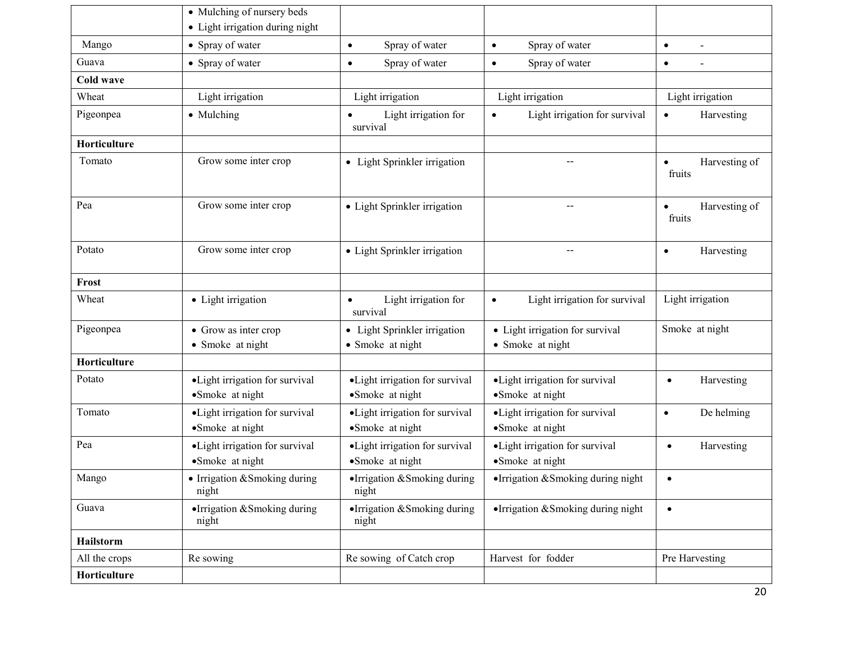|               | • Mulching of nursery beds<br>• Light irrigation during night |                                                    |                                                     |                                      |
|---------------|---------------------------------------------------------------|----------------------------------------------------|-----------------------------------------------------|--------------------------------------|
| Mango         | • Spray of water                                              | Spray of water<br>$\bullet$                        | Spray of water<br>$\bullet$                         | $\bullet$                            |
| Guava         | • Spray of water                                              | Spray of water<br>$\bullet$                        | Spray of water<br>$\bullet$                         | $\bullet$                            |
| Cold wave     |                                                               |                                                    |                                                     |                                      |
| Wheat         | Light irrigation                                              | Light irrigation                                   | Light irrigation                                    | Light irrigation                     |
| Pigeonpea     | • Mulching                                                    | Light irrigation for<br>survival                   | Light irrigation for survival                       | Harvesting<br>$\bullet$              |
| Horticulture  |                                                               |                                                    |                                                     |                                      |
| Tomato        | Grow some inter crop                                          | • Light Sprinkler irrigation                       |                                                     | Harvesting of<br>$\bullet$<br>fruits |
| Pea           | Grow some inter crop                                          | • Light Sprinkler irrigation                       |                                                     | Harvesting of<br>$\bullet$<br>fruits |
| Potato        | Grow some inter crop                                          | • Light Sprinkler irrigation                       | $\hspace{0.05cm}$ – $\hspace{0.05cm}$               | Harvesting<br>$\bullet$              |
| Frost         |                                                               |                                                    |                                                     |                                      |
| Wheat         | • Light irrigation                                            | Light irrigation for<br>$\bullet$<br>survival      | Light irrigation for survival<br>$\bullet$          | Light irrigation                     |
| Pigeonpea     | • Grow as inter crop<br>• Smoke at night                      | • Light Sprinkler irrigation<br>• Smoke at night   | • Light irrigation for survival<br>• Smoke at night | Smoke at night                       |
| Horticulture  |                                                               |                                                    |                                                     |                                      |
| Potato        | • Light irrigation for survival<br>•Smoke at night            | • Light irrigation for survival<br>•Smoke at night | • Light irrigation for survival<br>•Smoke at night  | Harvesting<br>$\bullet$              |
| Tomato        | ·Light irrigation for survival<br>•Smoke at night             | ·Light irrigation for survival<br>•Smoke at night  | ·Light irrigation for survival<br>•Smoke at night   | De helming<br>$\bullet$              |
| Pea           | • Light irrigation for survival<br>•Smoke at night            | • Light irrigation for survival<br>•Smoke at night | • Light irrigation for survival<br>•Smoke at night  | Harvesting<br>$\bullet$              |
| Mango         | • Irrigation & Smoking during<br>night                        | •Irrigation & Smoking during<br>night              | • Irrigation $&$ Smoking during night               | $\bullet$                            |
| Guava         | •Irrigation &Smoking during<br>night                          | •Irrigation & Smoking during<br>night              | •Irrigation & Smoking during night                  | $\bullet$                            |
| Hailstorm     |                                                               |                                                    |                                                     |                                      |
| All the crops | Re sowing                                                     | Re sowing of Catch crop                            | Harvest for fodder                                  | Pre Harvesting                       |
| Horticulture  |                                                               |                                                    |                                                     |                                      |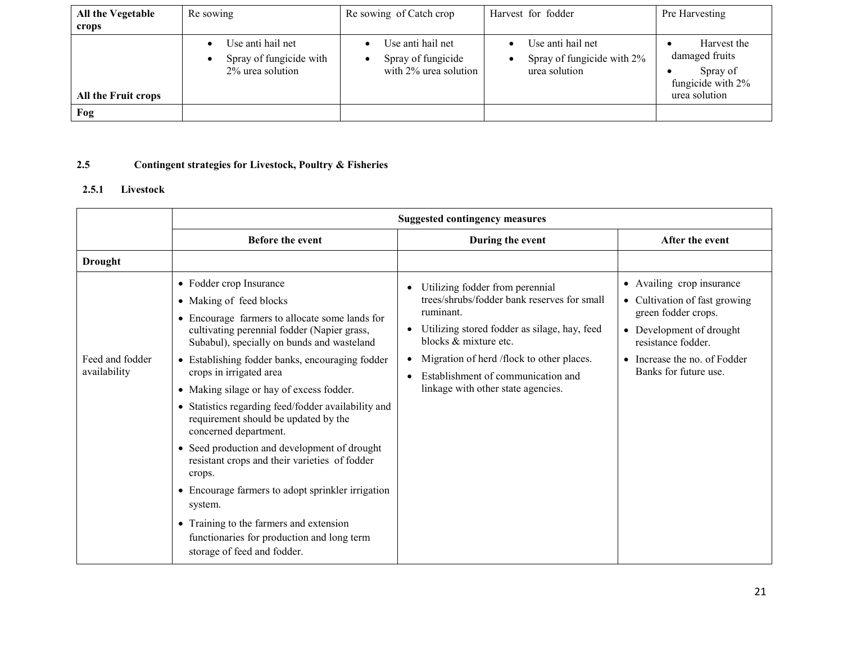| All the Vegetable<br>crops | Re sowing                                                        | Re sowing of Catch crop                                          | Harvest for fodder                                               | Pre Harvesting                                                                  |
|----------------------------|------------------------------------------------------------------|------------------------------------------------------------------|------------------------------------------------------------------|---------------------------------------------------------------------------------|
| All the Fruit crops        | Use anti hail net<br>Spray of fungicide with<br>2% urea solution | Use anti hail net<br>Spray of fungicide<br>with 2% urea solution | Use anti hail net<br>Spray of fungicide with 2%<br>urea solution | Harvest the<br>damaged fruits<br>Spray of<br>fungicide with 2%<br>urea solution |
| Fog                        |                                                                  |                                                                  |                                                                  |                                                                                 |

#### 2.5Contingent strategies for Livestock, Poultry & Fisheries

#### 2.5.1Livestock

|                                 | <b>Suggested contingency measures</b>                                                                                                                                                                                                                                                                                                                                                                                                                                                                                                                                                                                                                                                                                                                  |                                                                                                                                                                                                                                                                                               |                                                                                                                                                                                                         |  |
|---------------------------------|--------------------------------------------------------------------------------------------------------------------------------------------------------------------------------------------------------------------------------------------------------------------------------------------------------------------------------------------------------------------------------------------------------------------------------------------------------------------------------------------------------------------------------------------------------------------------------------------------------------------------------------------------------------------------------------------------------------------------------------------------------|-----------------------------------------------------------------------------------------------------------------------------------------------------------------------------------------------------------------------------------------------------------------------------------------------|---------------------------------------------------------------------------------------------------------------------------------------------------------------------------------------------------------|--|
|                                 | <b>Before the event</b>                                                                                                                                                                                                                                                                                                                                                                                                                                                                                                                                                                                                                                                                                                                                | During the event                                                                                                                                                                                                                                                                              | After the event                                                                                                                                                                                         |  |
| <b>Drought</b>                  |                                                                                                                                                                                                                                                                                                                                                                                                                                                                                                                                                                                                                                                                                                                                                        |                                                                                                                                                                                                                                                                                               |                                                                                                                                                                                                         |  |
| Feed and fodder<br>availability | • Fodder crop Insurance<br>• Making of feed blocks<br>• Encourage farmers to allocate some lands for<br>cultivating perennial fodder (Napier grass,<br>Subabul), specially on bunds and wasteland<br>• Establishing fodder banks, encouraging fodder<br>crops in irrigated area<br>• Making silage or hay of excess fodder.<br>• Statistics regarding feed/fodder availability and<br>requirement should be updated by the<br>concerned department.<br>• Seed production and development of drought<br>resistant crops and their varieties of fodder<br>crops.<br>• Encourage farmers to adopt sprinkler irrigation<br>system.<br>• Training to the farmers and extension<br>functionaries for production and long term<br>storage of feed and fodder. | Utilizing fodder from perennial<br>trees/shrubs/fodder bank reserves for small<br>ruminant.<br>Utilizing stored fodder as silage, hay, feed<br>blocks & mixture etc.<br>Migration of herd /flock to other places.<br>Establishment of communication and<br>linkage with other state agencies. | • Availing crop insurance<br>Cultivation of fast growing<br>$\bullet$<br>green fodder crops.<br>• Development of drought<br>resistance fodder.<br>• Increase the no. of Fodder<br>Banks for future use. |  |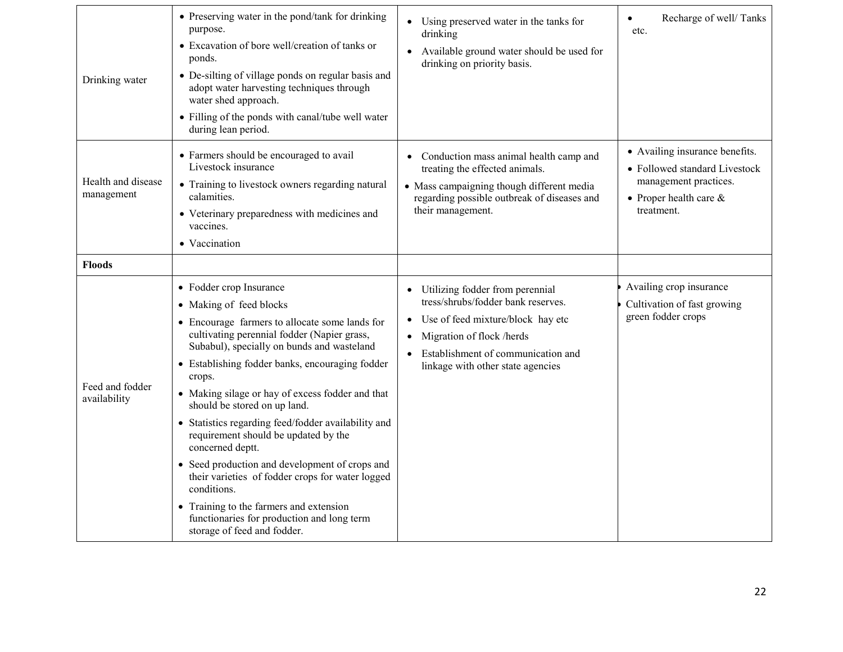| Drinking water                   | • Preserving water in the pond/tank for drinking<br>purpose.<br>• Excavation of bore well/creation of tanks or<br>ponds.<br>• De-silting of village ponds on regular basis and<br>adopt water harvesting techniques through<br>water shed approach.<br>• Filling of the ponds with canal/tube well water<br>during lean period.                                                                                                                                                                                                                                                                                                                                                                                    | Using preserved water in the tanks for<br>drinking<br>Available ground water should be used for<br>drinking on priority basis.                                                                                                                            | Recharge of well/Tanks<br>$\bullet$<br>etc.                                                                                         |
|----------------------------------|--------------------------------------------------------------------------------------------------------------------------------------------------------------------------------------------------------------------------------------------------------------------------------------------------------------------------------------------------------------------------------------------------------------------------------------------------------------------------------------------------------------------------------------------------------------------------------------------------------------------------------------------------------------------------------------------------------------------|-----------------------------------------------------------------------------------------------------------------------------------------------------------------------------------------------------------------------------------------------------------|-------------------------------------------------------------------------------------------------------------------------------------|
| Health and disease<br>management | • Farmers should be encouraged to avail<br>Livestock insurance<br>• Training to livestock owners regarding natural<br>calamities.<br>• Veterinary preparedness with medicines and<br>vaccines.<br>• Vaccination                                                                                                                                                                                                                                                                                                                                                                                                                                                                                                    | Conduction mass animal health camp and<br>treating the effected animals.<br>• Mass campaigning though different media<br>regarding possible outbreak of diseases and<br>their management.                                                                 | • Availing insurance benefits.<br>• Followed standard Livestock<br>management practices.<br>• Proper health care $\&$<br>treatment. |
| <b>Floods</b>                    |                                                                                                                                                                                                                                                                                                                                                                                                                                                                                                                                                                                                                                                                                                                    |                                                                                                                                                                                                                                                           |                                                                                                                                     |
| Feed and fodder<br>availability  | • Fodder crop Insurance<br>• Making of feed blocks<br>• Encourage farmers to allocate some lands for<br>cultivating perennial fodder (Napier grass,<br>Subabul), specially on bunds and wasteland<br>• Establishing fodder banks, encouraging fodder<br>crops.<br>• Making silage or hay of excess fodder and that<br>should be stored on up land.<br>• Statistics regarding feed/fodder availability and<br>requirement should be updated by the<br>concerned deptt.<br>• Seed production and development of crops and<br>their varieties of fodder crops for water logged<br>conditions.<br>• Training to the farmers and extension<br>functionaries for production and long term<br>storage of feed and fodder. | Utilizing fodder from perennial<br>$\bullet$<br>tress/shrubs/fodder bank reserves.<br>Use of feed mixture/block hay etc<br>$\bullet$<br>Migration of flock /herds<br>$\bullet$<br>Establishment of communication and<br>linkage with other state agencies | Availing crop insurance<br>Cultivation of fast growing<br>green fodder crops                                                        |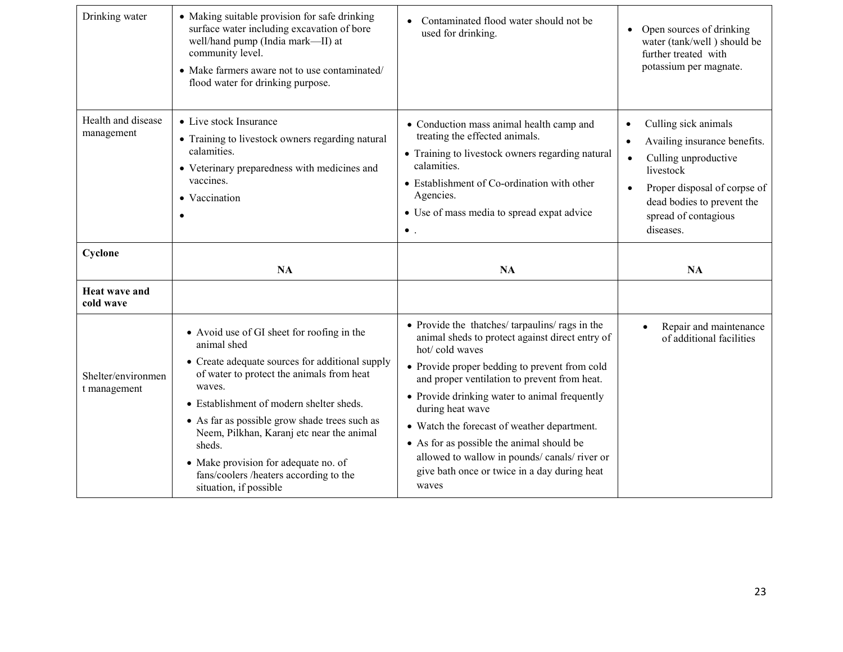| Drinking water                     | • Making suitable provision for safe drinking<br>surface water including excavation of bore<br>well/hand pump (India mark-II) at<br>community level.<br>• Make farmers aware not to use contaminated/<br>flood water for drinking purpose.                                                                                                                                                                | Contaminated flood water should not be<br>used for drinking.                                                                                                                                                                                                                                                                                                                                                                                                                          | Open sources of drinking<br>$\bullet$<br>water (tank/well) should be<br>further treated with<br>potassium per magnate.                                                                                                                           |
|------------------------------------|-----------------------------------------------------------------------------------------------------------------------------------------------------------------------------------------------------------------------------------------------------------------------------------------------------------------------------------------------------------------------------------------------------------|---------------------------------------------------------------------------------------------------------------------------------------------------------------------------------------------------------------------------------------------------------------------------------------------------------------------------------------------------------------------------------------------------------------------------------------------------------------------------------------|--------------------------------------------------------------------------------------------------------------------------------------------------------------------------------------------------------------------------------------------------|
| Health and disease<br>management   | • Live stock Insurance<br>• Training to livestock owners regarding natural<br>calamities.<br>• Veterinary preparedness with medicines and<br>vaccines.<br>• Vaccination<br>٠                                                                                                                                                                                                                              | • Conduction mass animal health camp and<br>treating the effected animals.<br>• Training to livestock owners regarding natural<br>calamities.<br>• Establishment of Co-ordination with other<br>Agencies.<br>• Use of mass media to spread expat advice<br>$\bullet$ .                                                                                                                                                                                                                | Culling sick animals<br>$\bullet$<br>Availing insurance benefits.<br>$\bullet$<br>Culling unproductive<br>$\bullet$<br>livestock<br>Proper disposal of corpse of<br>$\bullet$<br>dead bodies to prevent the<br>spread of contagious<br>diseases. |
| Cyclone                            | <b>NA</b>                                                                                                                                                                                                                                                                                                                                                                                                 | <b>NA</b>                                                                                                                                                                                                                                                                                                                                                                                                                                                                             | <b>NA</b>                                                                                                                                                                                                                                        |
| Heat wave and<br>cold wave         |                                                                                                                                                                                                                                                                                                                                                                                                           |                                                                                                                                                                                                                                                                                                                                                                                                                                                                                       |                                                                                                                                                                                                                                                  |
| Shelter/environmen<br>t management | • Avoid use of GI sheet for roofing in the<br>animal shed<br>• Create adequate sources for additional supply<br>of water to protect the animals from heat<br>waves.<br>• Establishment of modern shelter sheds.<br>• As far as possible grow shade trees such as<br>Neem, Pilkhan, Karanj etc near the animal<br>sheds.<br>• Make provision for adequate no. of<br>fans/coolers /heaters according to the | • Provide the thatches/tarpaulins/rags in the<br>animal sheds to protect against direct entry of<br>hot/cold waves<br>• Provide proper bedding to prevent from cold<br>and proper ventilation to prevent from heat.<br>• Provide drinking water to animal frequently<br>during heat wave<br>• Watch the forecast of weather department.<br>• As for as possible the animal should be<br>allowed to wallow in pounds/ canals/ river or<br>give bath once or twice in a day during heat | Repair and maintenance<br>of additional facilities                                                                                                                                                                                               |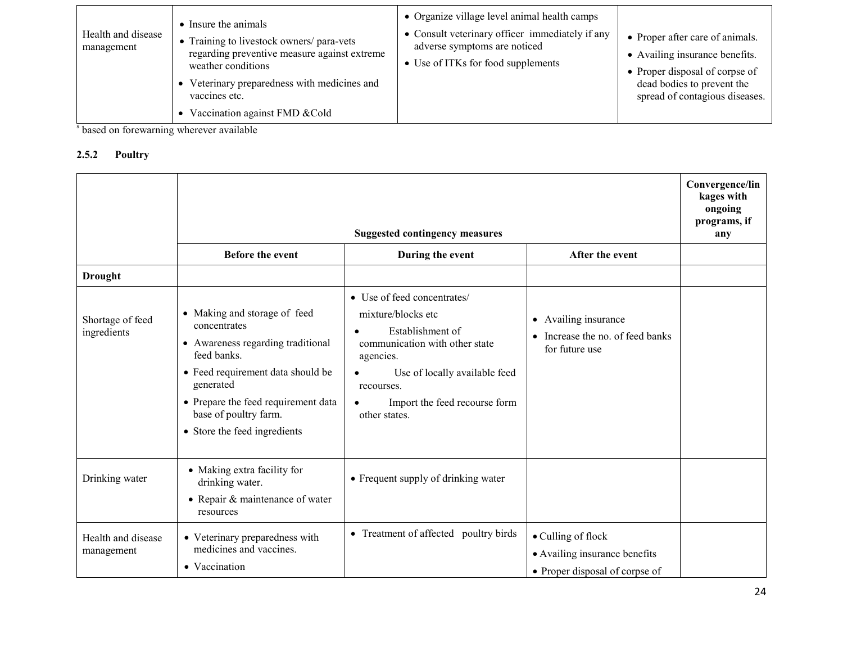| Health and disease<br>management | • Insure the animals<br>• Training to livestock owners/ para-vets<br>regarding preventive measure against extreme<br>weather conditions<br>Veterinary preparedness with medicines and<br>vaccines etc.<br>Vaccination against FMD & Cold | • Organize village level animal health camps<br>• Consult veterinary officer immediately if any<br>adverse symptoms are noticed<br>• Use of ITKs for food supplements | • Proper after care of animals.<br>• Availing insurance benefits.<br>• Proper disposal of corpse of<br>dead bodies to prevent the<br>spread of contagious diseases. |
|----------------------------------|------------------------------------------------------------------------------------------------------------------------------------------------------------------------------------------------------------------------------------------|-----------------------------------------------------------------------------------------------------------------------------------------------------------------------|---------------------------------------------------------------------------------------------------------------------------------------------------------------------|
|----------------------------------|------------------------------------------------------------------------------------------------------------------------------------------------------------------------------------------------------------------------------------------|-----------------------------------------------------------------------------------------------------------------------------------------------------------------------|---------------------------------------------------------------------------------------------------------------------------------------------------------------------|

<sup>s</sup> based on forewarning wherever available

# 2.5.2 Poultry

|                                  |                                                                                                                                                                                                                                                    | <b>Suggested contingency measures</b>                                                                                                                                                                                              |                                                                                       | Convergence/lin<br>kages with<br>ongoing<br>programs, if<br>any |
|----------------------------------|----------------------------------------------------------------------------------------------------------------------------------------------------------------------------------------------------------------------------------------------------|------------------------------------------------------------------------------------------------------------------------------------------------------------------------------------------------------------------------------------|---------------------------------------------------------------------------------------|-----------------------------------------------------------------|
|                                  | Before the event                                                                                                                                                                                                                                   | During the event                                                                                                                                                                                                                   | After the event                                                                       |                                                                 |
| <b>Drought</b>                   |                                                                                                                                                                                                                                                    |                                                                                                                                                                                                                                    |                                                                                       |                                                                 |
| Shortage of feed<br>ingredients  | • Making and storage of feed<br>concentrates<br>• Awareness regarding traditional<br>feed banks.<br>• Feed requirement data should be<br>generated<br>• Prepare the feed requirement data<br>base of poultry farm.<br>• Store the feed ingredients | • Use of feed concentrates/<br>mixture/blocks etc<br>Establishment of<br>communication with other state<br>agencies.<br>Use of locally available feed<br>recourses.<br>Import the feed recourse form<br>$\bullet$<br>other states. | Availing insurance<br>$\bullet$<br>• Increase the no. of feed banks<br>for future use |                                                                 |
| Drinking water                   | • Making extra facility for<br>drinking water.<br>• Repair $&$ maintenance of water<br>resources                                                                                                                                                   | • Frequent supply of drinking water                                                                                                                                                                                                |                                                                                       |                                                                 |
| Health and disease<br>management | • Veterinary preparedness with<br>medicines and vaccines.<br>• Vaccination                                                                                                                                                                         | • Treatment of affected poultry birds                                                                                                                                                                                              | • Culling of flock<br>• Availing insurance benefits<br>• Proper disposal of corpse of |                                                                 |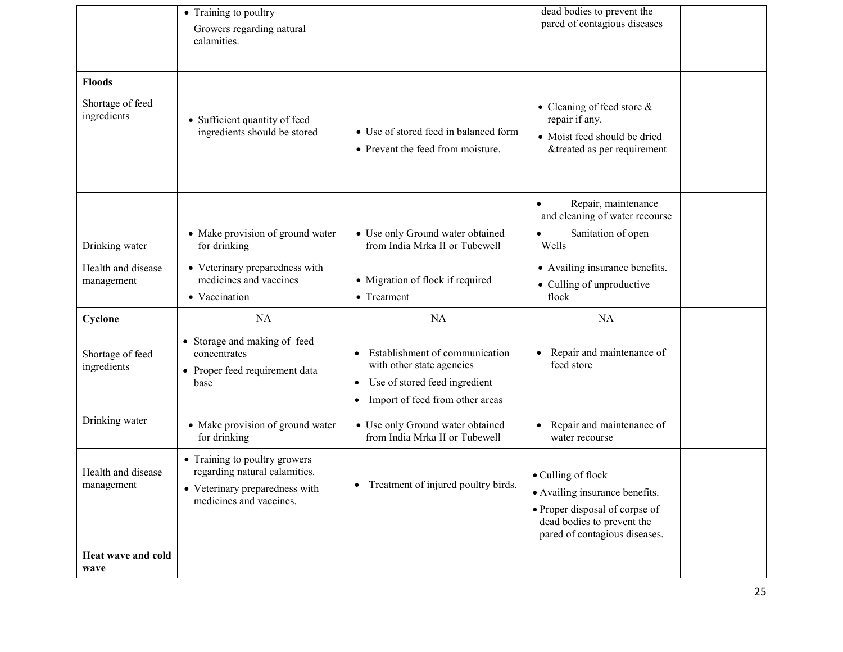|                                  | • Training to poultry<br>Growers regarding natural<br>calamities.                                                           |                                                                                                                                                                        | dead bodies to prevent the<br>pared of contagious diseases                                                                                            |  |
|----------------------------------|-----------------------------------------------------------------------------------------------------------------------------|------------------------------------------------------------------------------------------------------------------------------------------------------------------------|-------------------------------------------------------------------------------------------------------------------------------------------------------|--|
| <b>Floods</b>                    |                                                                                                                             |                                                                                                                                                                        |                                                                                                                                                       |  |
| Shortage of feed<br>ingredients  | • Sufficient quantity of feed<br>ingredients should be stored                                                               | • Use of stored feed in balanced form<br>• Prevent the feed from moisture.                                                                                             | • Cleaning of feed store $\&$<br>repair if any.<br>• Moist feed should be dried<br>&treated as per requirement                                        |  |
|                                  |                                                                                                                             |                                                                                                                                                                        | Repair, maintenance<br>$\bullet$<br>and cleaning of water recourse                                                                                    |  |
| Drinking water                   | • Make provision of ground water<br>for drinking                                                                            | • Use only Ground water obtained<br>from India Mrka II or Tubewell                                                                                                     | Sanitation of open<br>Wells                                                                                                                           |  |
| Health and disease<br>management | • Veterinary preparedness with<br>medicines and vaccines<br>• Vaccination                                                   | • Migration of flock if required<br>• Treatment                                                                                                                        | • Availing insurance benefits.<br>• Culling of unproductive<br>flock                                                                                  |  |
| Cyclone                          | NA                                                                                                                          | NA                                                                                                                                                                     | NA                                                                                                                                                    |  |
| Shortage of feed<br>ingredients  | • Storage and making of feed<br>concentrates<br>• Proper feed requirement data<br>base                                      | Establishment of communication<br>$\bullet$<br>with other state agencies<br>Use of stored feed ingredient<br>$\bullet$<br>Import of feed from other areas<br>$\bullet$ | Repair and maintenance of<br>feed store                                                                                                               |  |
| Drinking water                   | • Make provision of ground water<br>for drinking                                                                            | • Use only Ground water obtained<br>from India Mrka II or Tubewell                                                                                                     | Repair and maintenance of<br>water recourse                                                                                                           |  |
| Health and disease<br>management | • Training to poultry growers<br>regarding natural calamities.<br>• Veterinary preparedness with<br>medicines and vaccines. | Treatment of injured poultry birds.                                                                                                                                    | • Culling of flock<br>• Availing insurance benefits.<br>• Proper disposal of corpse of<br>dead bodies to prevent the<br>pared of contagious diseases. |  |
| Heat wave and cold<br>wave       |                                                                                                                             |                                                                                                                                                                        |                                                                                                                                                       |  |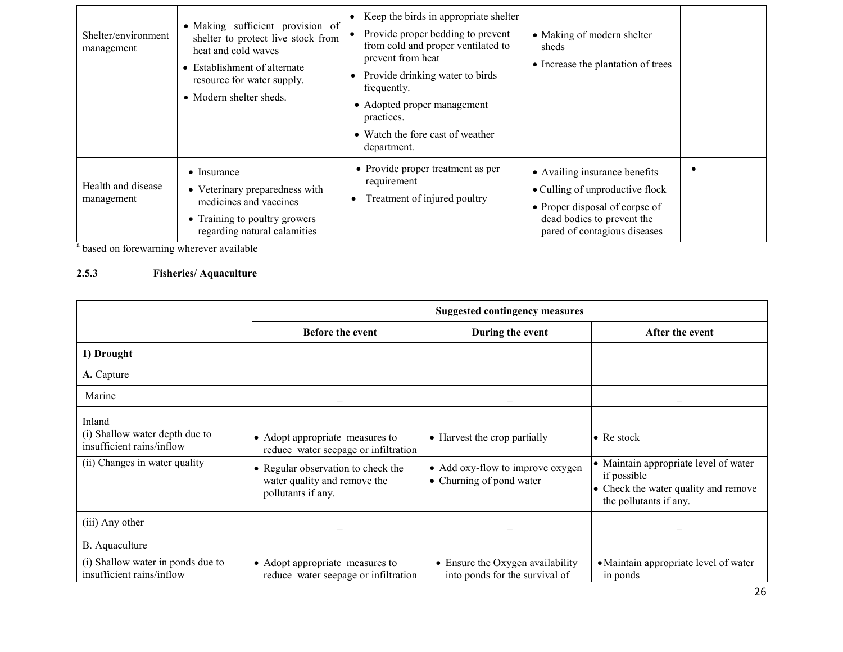| Shelter/environment<br>management | • Making sufficient provision of<br>shelter to protect live stock from<br>heat and cold waves<br>• Establishment of alternate<br>resource for water supply.<br>• Modern shelter sheds. | Keep the birds in appropriate shelter<br>Provide proper bedding to prevent<br>from cold and proper ventilated to<br>prevent from heat<br>Provide drinking water to birds<br>frequently.<br>• Adopted proper management<br>practices.<br>• Watch the fore cast of weather<br>department. | • Making of modern shelter<br>sheds<br>• Increase the plantation of trees                                                                                        |  |
|-----------------------------------|----------------------------------------------------------------------------------------------------------------------------------------------------------------------------------------|-----------------------------------------------------------------------------------------------------------------------------------------------------------------------------------------------------------------------------------------------------------------------------------------|------------------------------------------------------------------------------------------------------------------------------------------------------------------|--|
| Health and disease<br>management  | $\bullet$ Insurance<br>• Veterinary preparedness with<br>medicines and vaccines<br>• Training to poultry growers<br>regarding natural calamities                                       | • Provide proper treatment as per<br>requirement<br>Treatment of injured poultry<br>$\bullet$                                                                                                                                                                                           | • Availing insurance benefits<br>• Culling of unproductive flock<br>• Proper disposal of corpse of<br>dead bodies to prevent the<br>pared of contagious diseases |  |

<sup>a</sup> based on forewarning wherever available

## 2.5.3 Fisheries/ Aquaculture

|                                                                | <b>Suggested contingency measures</b>                                                    |                                                                    |                                                                                                                        |
|----------------------------------------------------------------|------------------------------------------------------------------------------------------|--------------------------------------------------------------------|------------------------------------------------------------------------------------------------------------------------|
|                                                                | <b>Before the event</b>                                                                  | During the event                                                   | After the event                                                                                                        |
| 1) Drought                                                     |                                                                                          |                                                                    |                                                                                                                        |
| A. Capture                                                     |                                                                                          |                                                                    |                                                                                                                        |
| Marine                                                         |                                                                                          |                                                                    |                                                                                                                        |
| Inland                                                         |                                                                                          |                                                                    |                                                                                                                        |
| (i) Shallow water depth due to<br>insufficient rains/inflow    | • Adopt appropriate measures to<br>reduce water seepage or infiltration                  | • Harvest the crop partially                                       | $\bullet$ Re stock                                                                                                     |
| (ii) Changes in water quality                                  | • Regular observation to check the<br>water quality and remove the<br>pollutants if any. | • Add oxy-flow to improve oxygen<br>• Churning of pond water       | • Maintain appropriate level of water<br>if possible<br>• Check the water quality and remove<br>the pollutants if any. |
| (iii) Any other                                                |                                                                                          |                                                                    |                                                                                                                        |
| B. Aquaculture                                                 |                                                                                          |                                                                    |                                                                                                                        |
| (i) Shallow water in ponds due to<br>insufficient rains/inflow | • Adopt appropriate measures to<br>reduce water seepage or infiltration                  | • Ensure the Oxygen availability<br>into ponds for the survival of | • Maintain appropriate level of water<br>in ponds                                                                      |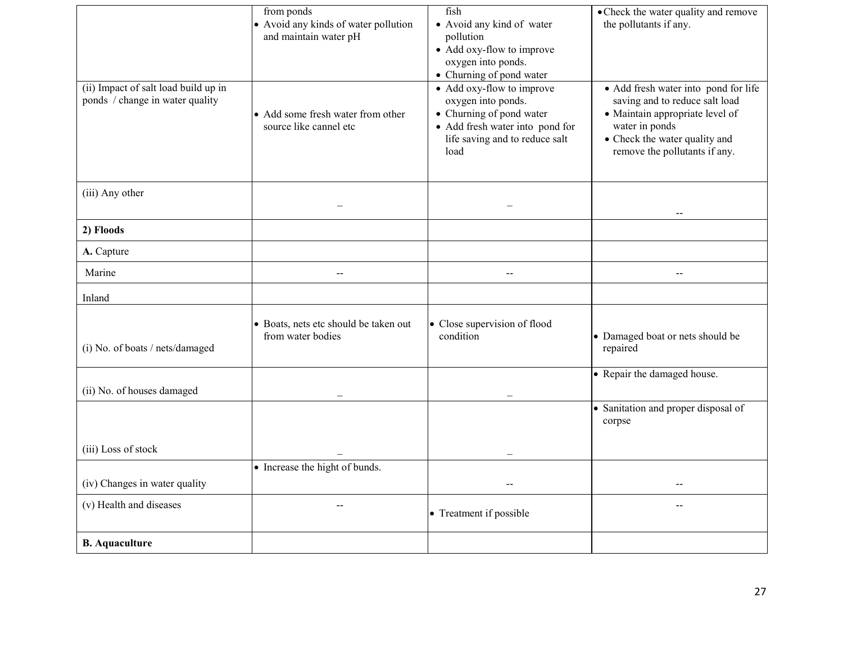| (ii) Impact of salt load build up in<br>ponds / change in water quality | from ponds<br>• Avoid any kinds of water pollution<br>and maintain water pH<br>• Add some fresh water from other<br>source like cannel etc | fish<br>• Avoid any kind of water<br>pollution<br>• Add oxy-flow to improve<br>oxygen into ponds.<br>• Churning of pond water<br>• Add oxy-flow to improve<br>oxygen into ponds.<br>• Churning of pond water<br>• Add fresh water into pond for<br>life saving and to reduce salt<br>load | • Check the water quality and remove<br>the pollutants if any.<br>• Add fresh water into pond for life<br>saving and to reduce salt load<br>· Maintain appropriate level of<br>water in ponds<br>• Check the water quality and<br>remove the pollutants if any. |
|-------------------------------------------------------------------------|--------------------------------------------------------------------------------------------------------------------------------------------|-------------------------------------------------------------------------------------------------------------------------------------------------------------------------------------------------------------------------------------------------------------------------------------------|-----------------------------------------------------------------------------------------------------------------------------------------------------------------------------------------------------------------------------------------------------------------|
| (iii) Any other                                                         |                                                                                                                                            |                                                                                                                                                                                                                                                                                           |                                                                                                                                                                                                                                                                 |
| 2) Floods                                                               |                                                                                                                                            |                                                                                                                                                                                                                                                                                           |                                                                                                                                                                                                                                                                 |
| A. Capture                                                              |                                                                                                                                            |                                                                                                                                                                                                                                                                                           |                                                                                                                                                                                                                                                                 |
| Marine                                                                  | $\overline{a}$                                                                                                                             | $\sim$                                                                                                                                                                                                                                                                                    | $\overline{\phantom{a}}$                                                                                                                                                                                                                                        |
| Inland                                                                  |                                                                                                                                            |                                                                                                                                                                                                                                                                                           |                                                                                                                                                                                                                                                                 |
| (i) No. of boats / nets/damaged                                         | • Boats, nets etc should be taken out<br>from water bodies                                                                                 | • Close supervision of flood<br>condition                                                                                                                                                                                                                                                 | • Damaged boat or nets should be<br>repaired                                                                                                                                                                                                                    |
| (ii) No. of houses damaged                                              |                                                                                                                                            |                                                                                                                                                                                                                                                                                           | • Repair the damaged house.                                                                                                                                                                                                                                     |
|                                                                         |                                                                                                                                            |                                                                                                                                                                                                                                                                                           | • Sanitation and proper disposal of<br>corpse                                                                                                                                                                                                                   |
| (iii) Loss of stock                                                     |                                                                                                                                            |                                                                                                                                                                                                                                                                                           |                                                                                                                                                                                                                                                                 |
| (iv) Changes in water quality                                           | • Increase the hight of bunds.                                                                                                             |                                                                                                                                                                                                                                                                                           |                                                                                                                                                                                                                                                                 |
| (v) Health and diseases                                                 | $\sim$                                                                                                                                     | • Treatment if possible                                                                                                                                                                                                                                                                   | $\overline{a}$                                                                                                                                                                                                                                                  |
| <b>B.</b> Aquaculture                                                   |                                                                                                                                            |                                                                                                                                                                                                                                                                                           |                                                                                                                                                                                                                                                                 |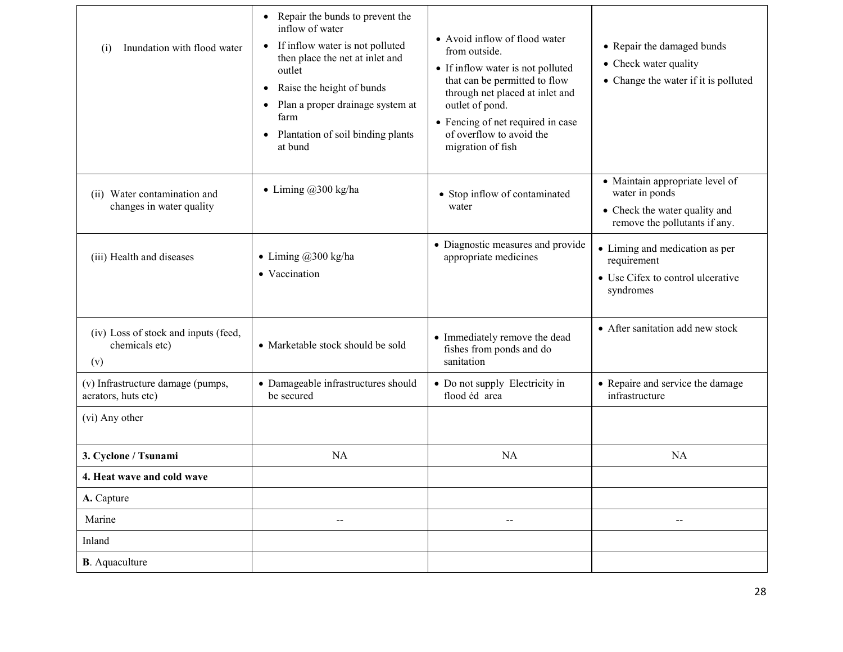| Inundation with flood water<br>(i)                            | • Repair the bunds to prevent the<br>inflow of water<br>• If inflow water is not polluted<br>then place the net at inlet and<br>outlet<br>Raise the height of bunds<br>$\bullet$<br>Plan a proper drainage system at<br>$\bullet$<br>farm<br>• Plantation of soil binding plants<br>at bund | • Avoid inflow of flood water<br>from outside.<br>• If inflow water is not polluted<br>that can be permitted to flow<br>through net placed at inlet and<br>outlet of pond.<br>• Fencing of net required in case<br>of overflow to avoid the<br>migration of fish | • Repair the damaged bunds<br>• Check water quality<br>• Change the water if it is polluted                         |
|---------------------------------------------------------------|---------------------------------------------------------------------------------------------------------------------------------------------------------------------------------------------------------------------------------------------------------------------------------------------|------------------------------------------------------------------------------------------------------------------------------------------------------------------------------------------------------------------------------------------------------------------|---------------------------------------------------------------------------------------------------------------------|
| (ii) Water contamination and<br>changes in water quality      | • Liming $@300$ kg/ha                                                                                                                                                                                                                                                                       | • Stop inflow of contaminated<br>water                                                                                                                                                                                                                           | · Maintain appropriate level of<br>water in ponds<br>• Check the water quality and<br>remove the pollutants if any. |
| (iii) Health and diseases                                     | • Liming $@300$ kg/ha<br>• Vaccination                                                                                                                                                                                                                                                      | • Diagnostic measures and provide<br>appropriate medicines                                                                                                                                                                                                       | • Liming and medication as per<br>requirement<br>• Use Cifex to control ulcerative<br>syndromes                     |
| (iv) Loss of stock and inputs (feed,<br>chemicals etc)<br>(v) | • Marketable stock should be sold                                                                                                                                                                                                                                                           | • Immediately remove the dead<br>fishes from ponds and do<br>sanitation                                                                                                                                                                                          | • After sanitation add new stock                                                                                    |
| (v) Infrastructure damage (pumps,<br>aerators, huts etc)      | • Damageable infrastructures should<br>be secured                                                                                                                                                                                                                                           | • Do not supply Electricity in<br>flood éd area                                                                                                                                                                                                                  | • Repaire and service the damage<br>infrastructure                                                                  |
| (vi) Any other                                                |                                                                                                                                                                                                                                                                                             |                                                                                                                                                                                                                                                                  |                                                                                                                     |
| 3. Cyclone / Tsunami                                          | NA                                                                                                                                                                                                                                                                                          | <b>NA</b>                                                                                                                                                                                                                                                        | NA                                                                                                                  |
| 4. Heat wave and cold wave                                    |                                                                                                                                                                                                                                                                                             |                                                                                                                                                                                                                                                                  |                                                                                                                     |
| A. Capture                                                    |                                                                                                                                                                                                                                                                                             |                                                                                                                                                                                                                                                                  |                                                                                                                     |
| Marine                                                        | $-$                                                                                                                                                                                                                                                                                         | $-$                                                                                                                                                                                                                                                              | --                                                                                                                  |
| Inland                                                        |                                                                                                                                                                                                                                                                                             |                                                                                                                                                                                                                                                                  |                                                                                                                     |
| <b>B</b> . Aquaculture                                        |                                                                                                                                                                                                                                                                                             |                                                                                                                                                                                                                                                                  |                                                                                                                     |